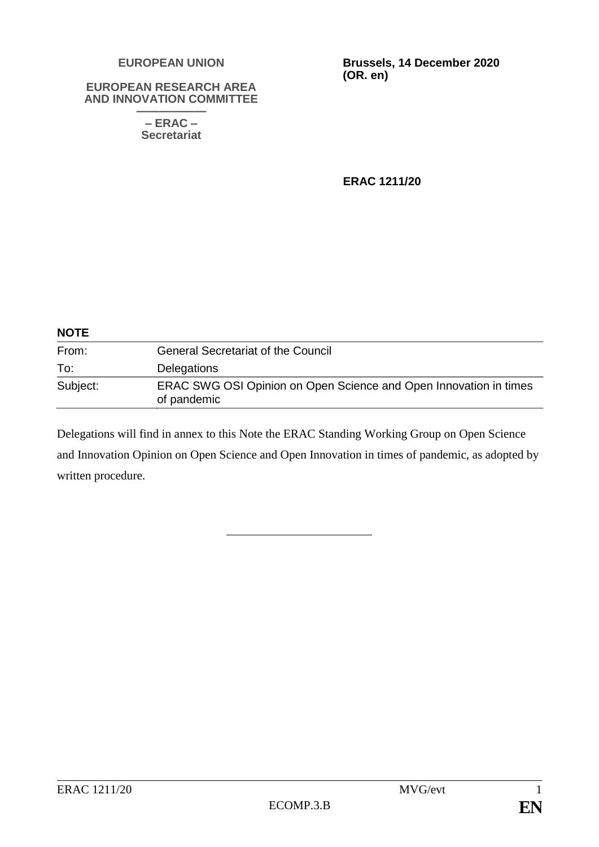#### **EUROPEAN UNION**

#### **EUROPEAN RESEARCH AREA AND INNOVATION COMMITTEE**

**—————— – ERAC – Secretariat**

**Brussels, 14 December 2020 (OR. en)**

**ERAC 1211/20**

| <b>NOTE</b> |                                                                                  |  |
|-------------|----------------------------------------------------------------------------------|--|
| From:       | <b>General Secretariat of the Council</b>                                        |  |
| To:         | <b>Delegations</b>                                                               |  |
| Subject:    | ERAC SWG OSI Opinion on Open Science and Open Innovation in times<br>of pandemic |  |

Delegations will find in annex to this Note the ERAC Standing Working Group on Open Science and Innovation Opinion on Open Science and Open Innovation in times of pandemic, as adopted by written procedure.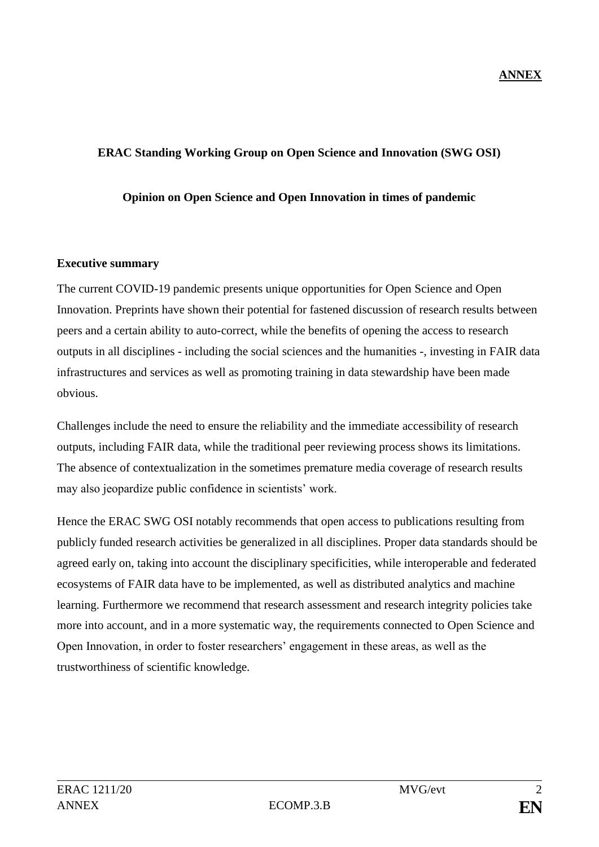## **ERAC Standing Working Group on Open Science and Innovation (SWG OSI)**

### **Opinion on Open Science and Open Innovation in times of pandemic**

### **Executive summary**

The current COVID-19 pandemic presents unique opportunities for Open Science and Open Innovation. Preprints have shown their potential for fastened discussion of research results between peers and a certain ability to auto-correct, while the benefits of opening the access to research outputs in all disciplines - including the social sciences and the humanities -, investing in FAIR data infrastructures and services as well as promoting training in data stewardship have been made obvious.

Challenges include the need to ensure the reliability and the immediate accessibility of research outputs, including FAIR data, while the traditional peer reviewing process shows its limitations. The absence of contextualization in the sometimes premature media coverage of research results may also jeopardize public confidence in scientists' work.

Hence the ERAC SWG OSI notably recommends that open access to publications resulting from publicly funded research activities be generalized in all disciplines. Proper data standards should be agreed early on, taking into account the disciplinary specificities, while interoperable and federated ecosystems of FAIR data have to be implemented, as well as distributed analytics and machine learning. Furthermore we recommend that research assessment and research integrity policies take more into account, and in a more systematic way, the requirements connected to Open Science and Open Innovation, in order to foster researchers' engagement in these areas, as well as the trustworthiness of scientific knowledge.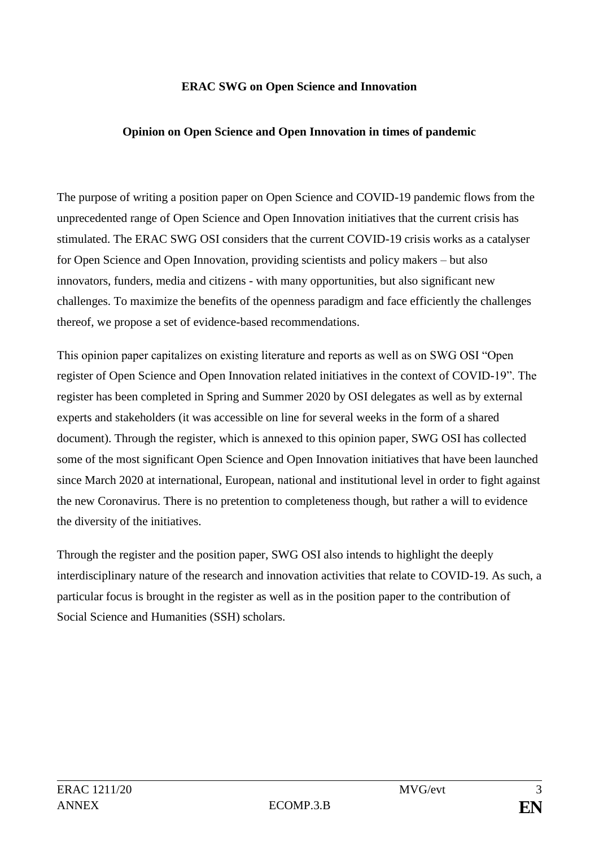### **ERAC SWG on Open Science and Innovation**

### **Opinion on Open Science and Open Innovation in times of pandemic**

The purpose of writing a position paper on Open Science and COVID-19 pandemic flows from the unprecedented range of Open Science and Open Innovation initiatives that the current crisis has stimulated. The ERAC SWG OSI considers that the current COVID-19 crisis works as a catalyser for Open Science and Open Innovation, providing scientists and policy makers – but also innovators, funders, media and citizens - with many opportunities, but also significant new challenges. To maximize the benefits of the openness paradigm and face efficiently the challenges thereof, we propose a set of evidence-based recommendations.

This opinion paper capitalizes on existing literature and reports as well as on SWG OSI "Open register of Open Science and Open Innovation related initiatives in the context of COVID-19". The register has been completed in Spring and Summer 2020 by OSI delegates as well as by external experts and stakeholders (it was accessible on line for several weeks in the form of a shared document). Through the register, which is annexed to this opinion paper, SWG OSI has collected some of the most significant Open Science and Open Innovation initiatives that have been launched since March 2020 at international, European, national and institutional level in order to fight against the new Coronavirus. There is no pretention to completeness though, but rather a will to evidence the diversity of the initiatives.

Through the register and the position paper, SWG OSI also intends to highlight the deeply interdisciplinary nature of the research and innovation activities that relate to COVID-19. As such, a particular focus is brought in the register as well as in the position paper to the contribution of Social Science and Humanities (SSH) scholars.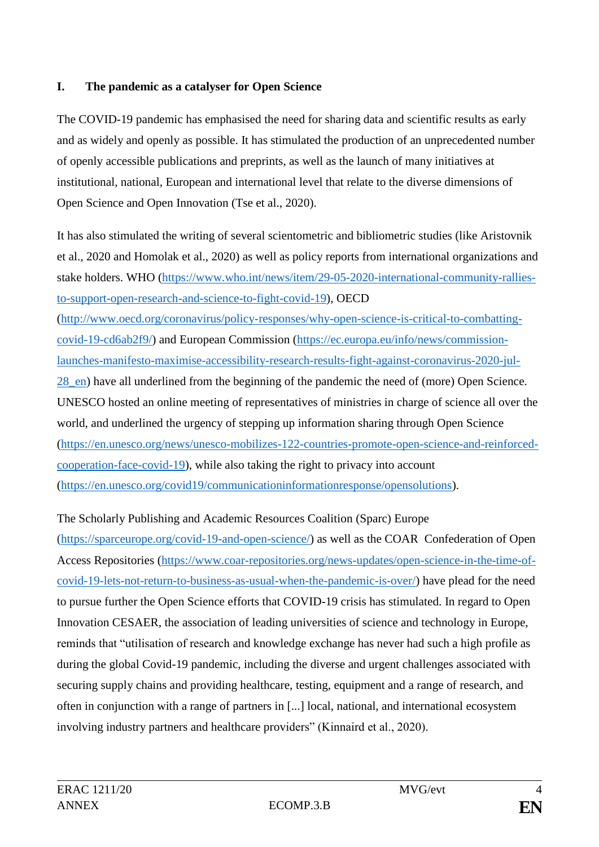## **I. The pandemic as a catalyser for Open Science**

The COVID-19 pandemic has emphasised the need for sharing data and scientific results as early and as widely and openly as possible. It has stimulated the production of an unprecedented number of openly accessible publications and preprints, as well as the launch of many initiatives at institutional, national, European and international level that relate to the diverse dimensions of Open Science and Open Innovation (Tse et al., 2020).

It has also stimulated the writing of several scientometric and bibliometric studies (like Aristovnik et al., 2020 and Homolak et al., 2020) as well as policy reports from international organizations and stake holders. WHO [\(https://www.who.int/news/item/29-05-2020-international-community-rallies](https://www.who.int/news/item/29-05-2020-international-community-rallies-to-support-open-research-and-science-to-fight-covid-19)[to-support-open-research-and-science-to-fight-covid-19\)](https://www.who.int/news/item/29-05-2020-international-community-rallies-to-support-open-research-and-science-to-fight-covid-19), OECD [\(http://www.oecd.org/coronavirus/policy-responses/why-open-science-is-critical-to-combatting](http://www.oecd.org/coronavirus/policy-responses/why-open-science-is-critical-to-combatting-covid-19-cd6ab2f9/)[covid-19-cd6ab2f9/\)](http://www.oecd.org/coronavirus/policy-responses/why-open-science-is-critical-to-combatting-covid-19-cd6ab2f9/) and European Commission [\(https://ec.europa.eu/info/news/commission](https://ec.europa.eu/info/news/commission-launches-manifesto-maximise-accessibility-research-results-fight-against-coronavirus-2020-jul-28_en)[launches-manifesto-maximise-accessibility-research-results-fight-against-coronavirus-2020-jul-](https://ec.europa.eu/info/news/commission-launches-manifesto-maximise-accessibility-research-results-fight-against-coronavirus-2020-jul-28_en)[28\\_en\)](https://ec.europa.eu/info/news/commission-launches-manifesto-maximise-accessibility-research-results-fight-against-coronavirus-2020-jul-28_en) have all underlined from the beginning of the pandemic the need of (more) Open Science. UNESCO hosted an online meeting of representatives of ministries in charge of science all over the world, and underlined the urgency of stepping up information sharing through Open Science [\(https://en.unesco.org/news/unesco-mobilizes-122-countries-promote-open-science-and-reinforced](https://en.unesco.org/news/unesco-mobilizes-122-countries-promote-open-science-and-reinforced-cooperation-face-covid-19)[cooperation-face-covid-19\)](https://en.unesco.org/news/unesco-mobilizes-122-countries-promote-open-science-and-reinforced-cooperation-face-covid-19), while also taking the right to privacy into account [\(https://en.unesco.org/covid19/communicationinformationresponse/opensolutions\)](https://en.unesco.org/covid19/communicationinformationresponse/opensolutions).

## The Scholarly Publishing and Academic Resources Coalition (Sparc) Europe

[\(https://sparceurope.org/covid-19-and-open-science/\)](https://sparceurope.org/covid-19-and-open-science/) as well as the COAR Confederation of Open Access Repositories [\(https://www.coar-repositories.org/news-updates/open-science-in-the-time-of](https://www.coar-repositories.org/news-updates/open-science-in-the-time-of-covid-19-lets-not-return-to-business-as-usual-when-the-pandemic-is-over/)[covid-19-lets-not-return-to-business-as-usual-when-the-pandemic-is-over/\)](https://www.coar-repositories.org/news-updates/open-science-in-the-time-of-covid-19-lets-not-return-to-business-as-usual-when-the-pandemic-is-over/) have plead for the need to pursue further the Open Science efforts that COVID-19 crisis has stimulated. In regard to Open Innovation CESAER, the [association](https://en.wikipedia.org/wiki/Non-profit_association) of leading [universities](https://en.wikipedia.org/wiki/University) of [science](https://en.wikipedia.org/wiki/Science) and [technology](https://en.wikipedia.org/wiki/Technology) in [Europe,](https://en.wikipedia.org/wiki/Europe) reminds that "utilisation of research and knowledge exchange has never had such a high profile as during the global Covid-19 pandemic, including the diverse and urgent challenges associated with securing supply chains and providing healthcare, testing, equipment and a range of research, and often in conjunction with a range of partners in [...] local, national, and international ecosystem involving industry partners and healthcare providers" (Kinnaird et al., 2020).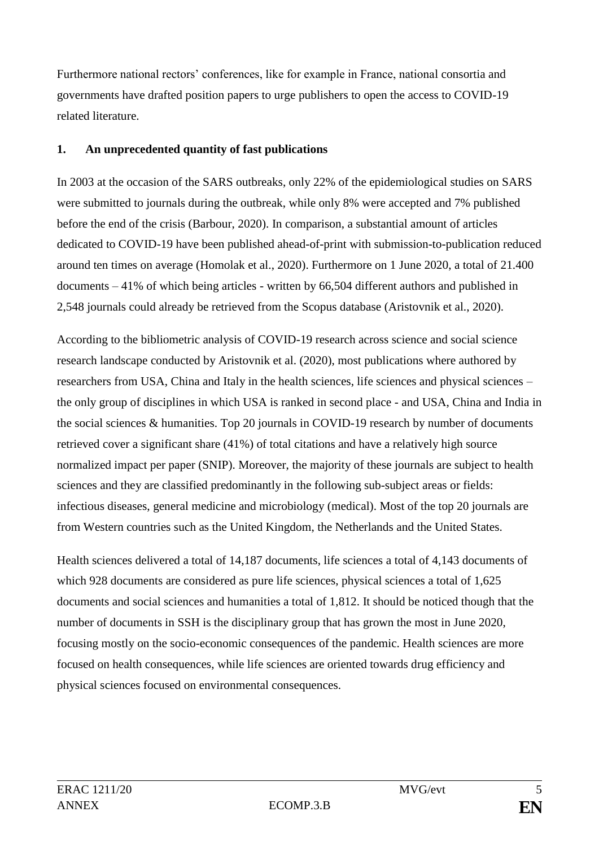Furthermore national rectors' conferences, like for example in France, national consortia and governments have drafted position papers to urge publishers to open the access to COVID-19 related literature.

## **1. An unprecedented quantity of fast publications**

In 2003 at the occasion of the SARS outbreaks, only 22% of the epidemiological studies on SARS were submitted to journals during the outbreak, while only 8% were accepted and 7% published before the end of the crisis (Barbour, 2020). In comparison, a substantial amount of articles dedicated to COVID-19 have been published ahead-of-print with submission-to-publication reduced around ten times on average (Homolak et al., 2020). Furthermore on 1 June 2020, a total of 21.400 documents – 41% of which being articles - written by 66,504 different authors and published in 2,548 journals could already be retrieved from the Scopus database (Aristovnik et al., 2020).

According to the bibliometric analysis of COVID-19 research across science and social science research landscape conducted by Aristovnik et al. (2020), most publications where authored by researchers from USA, China and Italy in the health sciences, life sciences and physical sciences – the only group of disciplines in which USA is ranked in second place - and USA, China and India in the social sciences & humanities. Top 20 journals in COVID-19 research by number of documents retrieved cover a significant share (41%) of total citations and have a relatively high source normalized impact per paper (SNIP). Moreover, the majority of these journals are subject to health sciences and they are classified predominantly in the following sub-subject areas or fields: infectious diseases, general medicine and microbiology (medical). Most of the top 20 journals are from Western countries such as the United Kingdom, the Netherlands and the United States.

Health sciences delivered a total of 14,187 documents, life sciences a total of 4,143 documents of which 928 documents are considered as pure life sciences, physical sciences a total of 1,625 documents and social sciences and humanities a total of 1,812. It should be noticed though that the number of documents in SSH is the disciplinary group that has grown the most in June 2020, focusing mostly on the socio-economic consequences of the pandemic. Health sciences are more focused on health consequences, while life sciences are oriented towards drug efficiency and physical sciences focused on environmental consequences.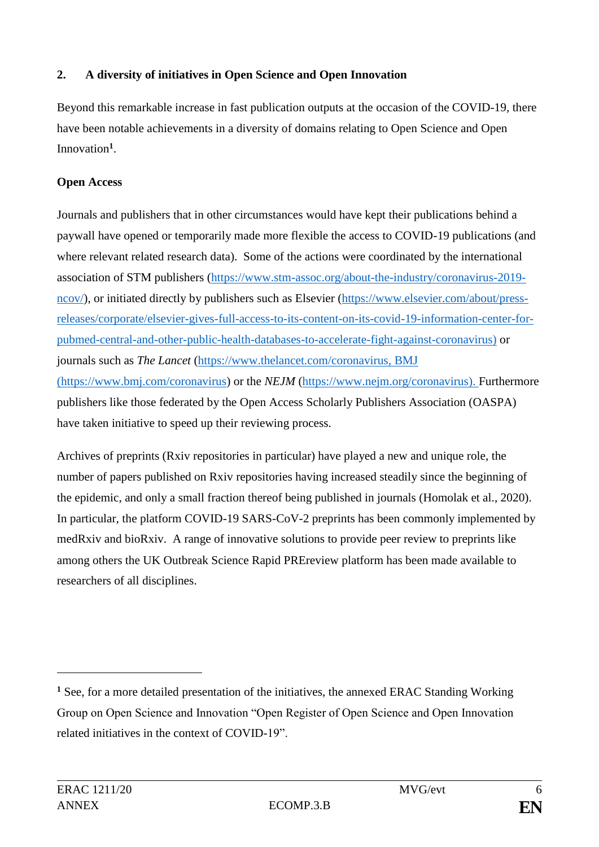## **2. A diversity of initiatives in Open Science and Open Innovation**

Beyond this remarkable increase in fast publication outputs at the occasion of the COVID-19, there have been notable achievements in a diversity of domains relating to Open Science and Open Innovation**<sup>1</sup>** .

## **Open Access**

Journals and publishers that in other circumstances would have kept their publications behind a paywall have opened or temporarily made more flexible the access to COVID-19 publications (and where relevant related research data). Some of the actions were coordinated by the international association of STM publishers [\(https://www.stm-assoc.org/about-the-industry/coronavirus-2019](https://www.stm-assoc.org/about-the-industry/coronavirus-2019-ncov/) [ncov/\)](https://www.stm-assoc.org/about-the-industry/coronavirus-2019-ncov/), or initiated directly by publishers such as Elsevier [\(https://www.elsevier.com/about/press](https://www.elsevier.com/about/press-releases/corporate/elsevier-gives-full-access-to-its-content-on-its-covid-19-information-center-for-pubmed-central-and-other-public-health-databases-to-accelerate-fight-against-coronavirus)[releases/corporate/elsevier-gives-full-access-to-its-content-on-its-covid-19-information-center-for](https://www.elsevier.com/about/press-releases/corporate/elsevier-gives-full-access-to-its-content-on-its-covid-19-information-center-for-pubmed-central-and-other-public-health-databases-to-accelerate-fight-against-coronavirus)[pubmed-central-and-other-public-health-databases-to-accelerate-fight-against-coronavirus\)](https://www.elsevier.com/about/press-releases/corporate/elsevier-gives-full-access-to-its-content-on-its-covid-19-information-center-for-pubmed-central-and-other-public-health-databases-to-accelerate-fight-against-coronavirus) or journals such as *The Lancet* [\(https://www.thelancet.com/coronavirus,](https://eur03.safelinks.protection.outlook.com/?url=https%3A%2F%2Fwww.thelancet.com%2Fcoronavirus&data=02%7C01%7Cbart.dumolyn%40vlaanderen.be%7C077fc67724064a50065508d7d47c4454%7C0c0338a695614ee8b8d64e89cbd520a0%7C0%7C0%7C637211502491828294&sdata=qEO1YElSuhafRiqcp19AXDifgPsKQkCjWq5XQi2lUDU%3D&reserved=0) BMJ [\(https://www.bmj.com/coronavirus\)](https://eur03.safelinks.protection.outlook.com/?url=https%3A%2F%2Fwww.bmj.com%2Fcoronavirus&data=02%7C01%7Cbart.dumolyn%40vlaanderen.be%7C077fc67724064a50065508d7d47c4454%7C0c0338a695614ee8b8d64e89cbd520a0%7C0%7C0%7C637211502491838251&sdata=IVKMJOw7LYdeiLeDWpea5dNYzFV3XCgAKebK3F%2FerJ4%3D&reserved=0) or the *NEJM* [\(https://www.nejm.org/coronavirus\)](https://eur03.safelinks.protection.outlook.com/?url=https%3A%2F%2Fwww.nejm.org%2Fcoronavirus&data=02%7C01%7Cbart.dumolyn%40vlaanderen.be%7C077fc67724064a50065508d7d47c4454%7C0c0338a695614ee8b8d64e89cbd520a0%7C0%7C0%7C637211502491838251&sdata=bBsvv0DS5UCB45%2Fq0MndgKFKpKmpHtfPcTp94LbhoW8%3D&reserved=0). Furthermore publishers like those federated by the Open Access Scholarly Publishers Association (OASPA) have taken initiative to speed up their reviewing process.

Archives of preprints (Rxiv repositories in particular) have played a new and unique role, the number of papers published on Rxiv repositories having increased steadily since the beginning of the epidemic, and only a small fraction thereof being published in journals (Homolak et al., 2020). In particular, the platform [COVID-19 SARS-CoV-2 preprints](http://connect.biorxiv.org/relate/content/181) has been commonly implemented by medRxiv and bioRxiv. A range of innovative solutions to provide peer review to preprints like among others the UK [Outbreak Science Rapid PREreview](https://outbreaksci.prereview.org/) platform has been made available to researchers of all disciplines.

<u>.</u>

**<sup>1</sup>** See, for a more detailed presentation of the initiatives, the annexed ERAC Standing Working Group on Open Science and Innovation "Open Register of Open Science and Open Innovation related initiatives in the context of COVID-19".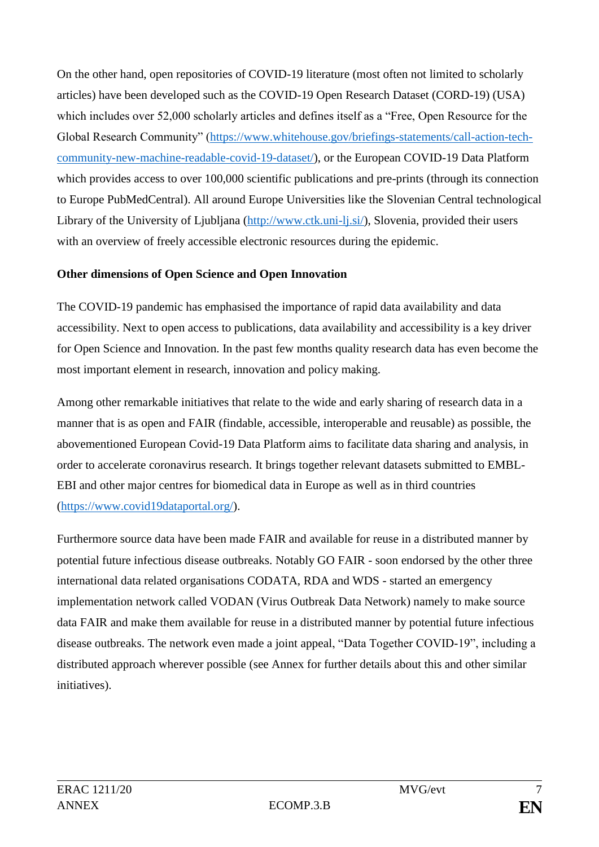On the other hand, open repositories of COVID-19 literature (most often not limited to scholarly articles) have been developed such as the COVID-19 Open Research Dataset (CORD-19) (USA) which includes over 52,000 scholarly articles and defines itself as a "Free, Open Resource for the Global Research Community" [\(https://www.whitehouse.gov/briefings-statements/call-action-tech](https://www.whitehouse.gov/briefings-statements/call-action-tech-community-new-machine-readable-covid-19-dataset/)[community-new-machine-readable-covid-19-dataset/\)](https://www.whitehouse.gov/briefings-statements/call-action-tech-community-new-machine-readable-covid-19-dataset/), or the European COVID-19 Data Platform which provides access to over 100,000 scientific publications and pre-prints (through its connection to Europe PubMedCentral). All around Europe Universities like the Slovenian Central technological Library of the University of Ljubljana [\(http://www.ctk.uni-lj.si/\)](http://www.ctk.uni-lj.si/), Slovenia, provided their users with an overview of freely accessible electronic resources during the epidemic.

## **Other dimensions of Open Science and Open Innovation**

The COVID-19 pandemic has emphasised the importance of rapid data availability and data accessibility. Next to open access to publications, data availability and accessibility is a key driver for Open Science and Innovation. In the past few months quality research data has even become the most important element in research, innovation and policy making.

Among other remarkable initiatives that relate to the wide and early sharing of research data in a manner that is as open and FAIR (findable, accessible, interoperable and reusable) as possible, the abovementioned European Covid-19 Data Platform aims to facilitate data sharing and analysis, in order to accelerate coronavirus research. It brings together relevant datasets submitted to EMBL-EBI and other major centres for biomedical data in Europe as well as in third countries [\(https://www.covid19dataportal.org/\)](https://www.covid19dataportal.org/).

Furthermore source data have been made FAIR and available for reuse in a distributed manner by potential future infectious disease outbreaks. Notably [GO FAIR](https://www.go-fair.org/) - soon endorsed by the other three international data related organisations CODATA, RDA and WDS - started an emergency implementation network called [VODAN](https://www.go-fair.org/implementation-networks/overview/vodan/) (Virus Outbreak Data Network) namely to make source data FAIR and make them available for reuse in a distributed manner by potential future infectious disease outbreaks. The network even made a [joint appeal,](https://www.go-fair.org/wp-content/uploads/2020/03/Data-Together-COVID-19-Statement-FINAL.pdf) "Data Together COVID-19", including a distributed approach wherever possible (see Annex for further details about this and other similar initiatives).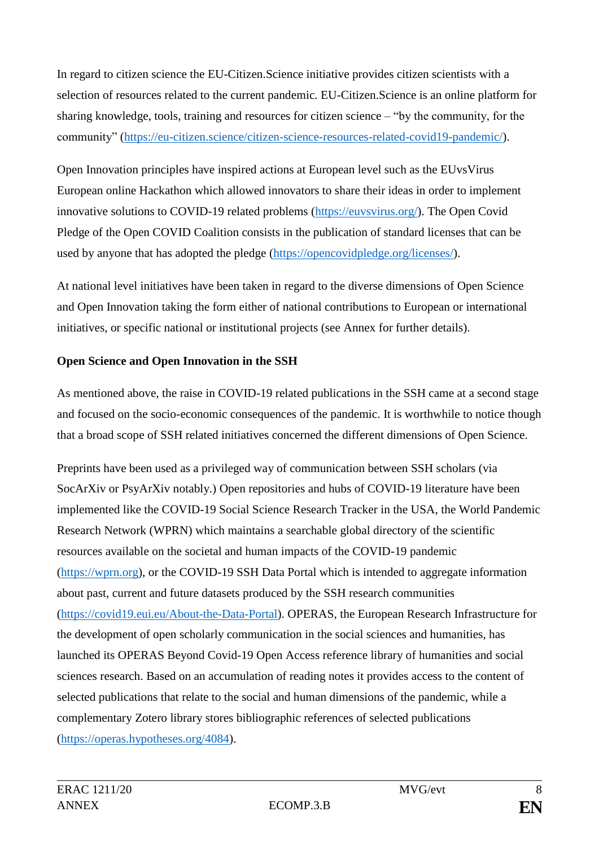In regard to citizen science the EU-Citizen.Science initiative provides citizen scientists with a selection of resources related to the current pandemic. EU-Citizen.Science is an online platform for sharing knowledge, tools, training and resources for citizen science – "by the community, for the community" [\(https://eu-citizen.science/citizen-science-resources-related-covid19-pandemic/\)](https://eu-citizen.science/citizen-science-resources-related-covid19-pandemic/).

Open Innovation principles have inspired actions at European level such as the EUvsVirus European online Hackathon which allowed innovators to share their ideas in order to implement innovative solutions to COVID-19 related problems [\(https://euvsvirus.org/\)](https://euvsvirus.org/). The Open Covid Pledge of the Open COVID Coalition consists in the publication of standard licenses that can be used by anyone that has adopted the pledge [\(https://opencovidpledge.org/licenses/\)](https://opencovidpledge.org/licenses/).

At national level initiatives have been taken in regard to the diverse dimensions of Open Science and Open Innovation taking the form either of national contributions to European or international initiatives, or specific national or institutional projects (see Annex for further details).

## **Open Science and Open Innovation in the SSH**

As mentioned above, the raise in COVID-19 related publications in the SSH came at a second stage and focused on the socio-economic consequences of the pandemic. It is worthwhile to notice though that a broad scope of SSH related initiatives concerned the different dimensions of Open Science.

Preprints have been used as a privileged way of communication between SSH scholars (via SocArXiv or PsyArXiv notably.) Open repositories and hubs of COVID-19 literature have been implemented like the COVID-19 Social Science Research Tracker in the USA, the World Pandemic Research Network (WPRN) which maintains a searchable global directory of the scientific resources available on the societal and human impacts of the COVID-19 pandemic [\(https://wprn.org\)](https://wprn.org/), or the COVID-19 SSH Data Portal which is intended to aggregate information about past, current and future datasets produced by the SSH research communities [\(https://covid19.eui.eu/About-the-Data-Portal\)](https://covid19.eui.eu/About-the-Data-Portal). [OPERAS,](http://operas.hypotheses.org/aboutoperas) the European Research Infrastructure for the development of open scholarly communication in the social sciences and humanities, has launched its OPERAS Beyond Covid-19 Open Access reference library of humanities and social sciences research. Based on an accumulation of reading notes it provides access to the content of selected publications that relate to the social and human dimensions of the pandemic, while a complementary [Zotero library](https://www.zotero.org/groups/2473609/beyond_covid-19) stores bibliographic references of selected publications [\(https://operas.hypotheses.org/4084\)](https://operas.hypotheses.org/4084).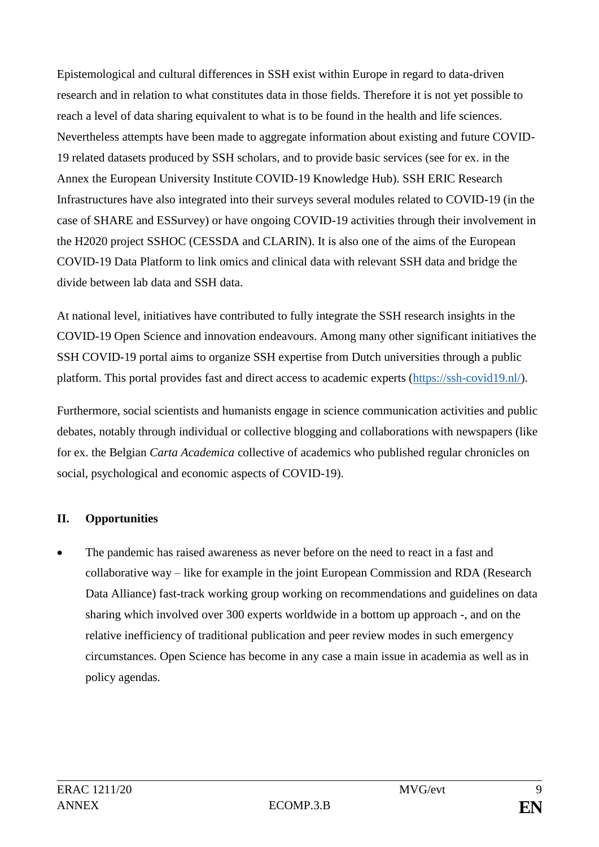Epistemological and cultural differences in SSH exist within Europe in regard to data-driven research and in relation to what constitutes data in those fields. Therefore it is not yet possible to reach a level of data sharing equivalent to what is to be found in the health and life sciences. Nevertheless attempts have been made to aggregate information about existing and future COVID-19 related datasets produced by SSH scholars, and to provide basic services (see for ex. in the Annex the European University Institute COVID-19 Knowledge Hub). SSH ERIC Research Infrastructures have also integrated into their surveys several modules related to COVID-19 (in the case of SHARE and ESSurvey) or have ongoing COVID-19 activities through their involvement in the H2020 project SSHOC (CESSDA and CLARIN). It is also one of the aims of the European COVID-19 Data Platform to link omics and clinical data with relevant SSH data and bridge the divide between lab data and SSH data.

At national level, initiatives have contributed to fully integrate the SSH research insights in the COVID-19 Open Science and innovation endeavours. Among many other significant initiatives the SSH COVID-19 portal aims to organize SSH expertise from Dutch universities through a public platform. This portal provides fast and direct access to academic experts [\(https://ssh-covid19.nl/\)](https://ssh-covid19.nl/).

Furthermore, social scientists and humanists engage in science communication activities and public debates, notably through individual or collective blogging and collaborations with newspapers (like for ex. the Belgian *Carta Academica* collective of academics who published regular chronicles on social, psychological and economic aspects of COVID-19).

## **II. Opportunities**

 The pandemic has raised awareness as never before on the need to react in a fast and collaborative way – like for example in the joint European Commission and RDA (Research Data Alliance) fast-track working group working on recommendations and guidelines on data sharing which involved over 300 experts worldwide in a bottom up approach -, and on the relative inefficiency of traditional publication and peer review modes in such emergency circumstances. Open Science has become in any case a main issue in academia as well as in policy agendas.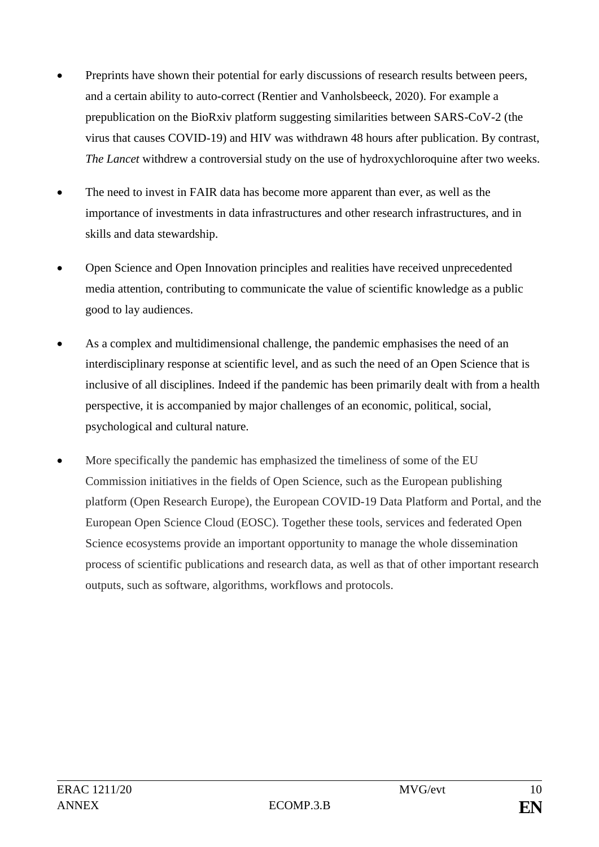- Preprints have shown their potential for early discussions of research results between peers, and a certain ability to auto-correct (Rentier and Vanholsbeeck, 2020). For example a prepublication on the BioRxiv platform suggesting similarities between SARS-CoV-2 (the virus that causes COVID‑19) and HIV was withdrawn 48 hours after publication. By contrast, *The Lancet* withdrew a controversial study on the use of hydroxychloroquine after two weeks.
- The need to invest in FAIR data has become more apparent than ever, as well as the importance of investments in data infrastructures and other research infrastructures, and in skills and data stewardship.
- Open Science and Open Innovation principles and realities have received unprecedented media attention, contributing to communicate the value of scientific knowledge as a public good to lay audiences.
- As a complex and multidimensional challenge, the pandemic emphasises the need of an interdisciplinary response at scientific level, and as such the need of an Open Science that is inclusive of all disciplines. Indeed if the pandemic has been primarily dealt with from a health perspective, it is accompanied by major challenges of an economic, political, social, psychological and cultural nature.
- More specifically the pandemic has emphasized the timeliness of some of the EU Commission initiatives in the fields of Open Science, such as the European publishing platform (Open Research Europe), the European COVID-19 Data Platform and Portal, and the European Open Science Cloud (EOSC). Together these tools, services and federated Open Science ecosystems provide an important opportunity to manage the whole dissemination process of scientific publications and research data, as well as that of other important research outputs, such as software, algorithms, workflows and protocols.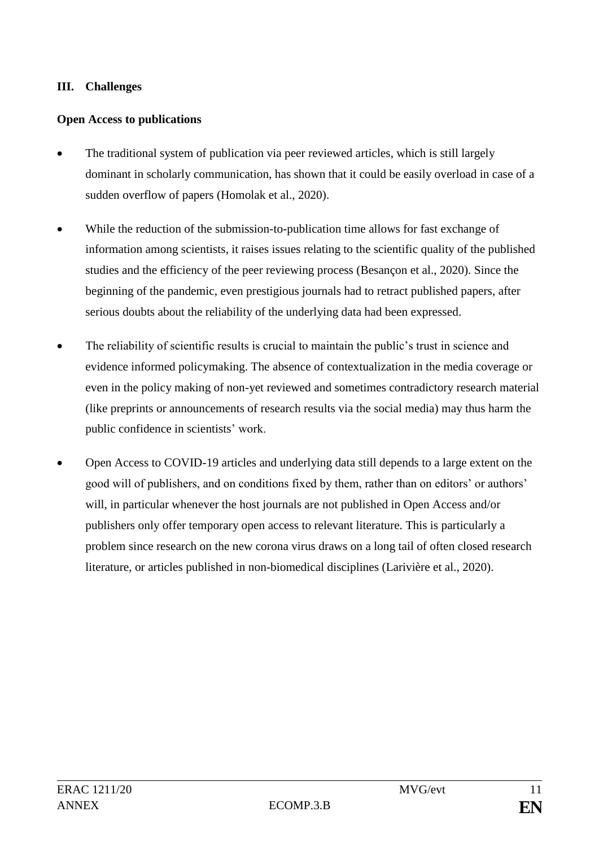## **III. Challenges**

### **Open Access to publications**

- The traditional system of publication via peer reviewed articles, which is still largely dominant in scholarly communication, has shown that it could be easily overload in case of a sudden overflow of papers (Homolak et al., 2020).
- While the reduction of the submission-to-publication time allows for fast exchange of information among scientists, it raises issues relating to the scientific quality of the published studies and the efficiency of the peer reviewing process (Besançon et al., 2020). Since the beginning of the pandemic, even prestigious journals had to retract published papers, after serious doubts about the reliability of the underlying data had been expressed.
- The reliability of scientific results is crucial to maintain the public's trust in science and evidence informed policymaking. The absence of contextualization in the media coverage or even in the policy making of non-yet reviewed and sometimes contradictory research material (like preprints or announcements of research results via the social media) may thus harm the public confidence in scientists' work.
- Open Access to COVID-19 articles and underlying data still depends to a large extent on the good will of publishers, and on conditions fixed by them, rather than on editors' or authors' will, in particular whenever the host journals are not published in Open Access and/or publishers only offer temporary open access to relevant literature. This is particularly a problem since research on the new corona virus draws on a long tail of often closed research literature, or articles published in non-biomedical disciplines (Larivière et al., 2020).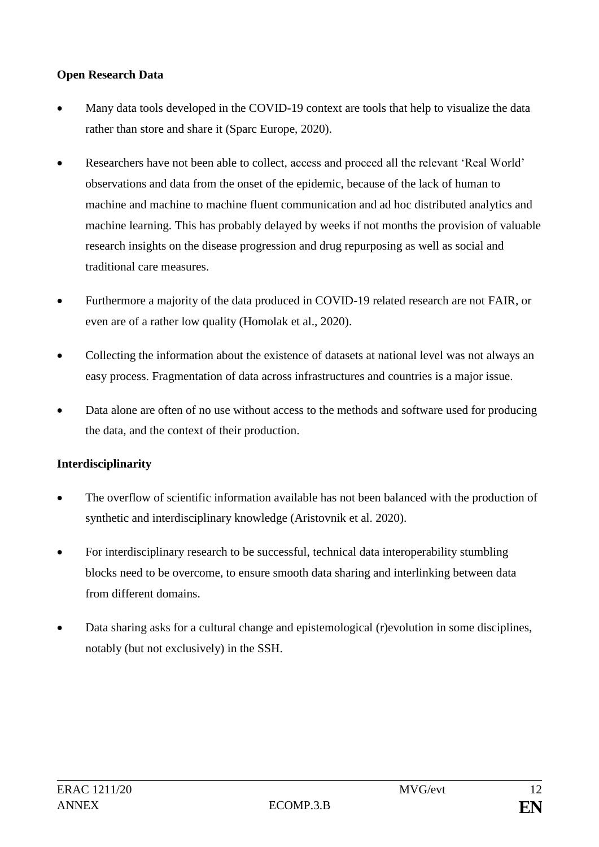## **Open Research Data**

- Many data tools developed in the COVID-19 context are tools that help to visualize the data rather than store and share it (Sparc Europe, 2020).
- Researchers have not been able to collect, access and proceed all the relevant 'Real World' observations and data from the onset of the epidemic, because of the lack of human to machine and machine to machine fluent communication and ad hoc distributed analytics and machine learning. This has probably delayed by weeks if not months the provision of valuable research insights on the disease progression and drug repurposing as well as social and traditional care measures.
- Furthermore a majority of the data produced in COVID-19 related research are not FAIR, or even are of a rather low quality (Homolak et al., 2020).
- Collecting the information about the existence of datasets at national level was not always an easy process. Fragmentation of data across infrastructures and countries is a major issue.
- Data alone are often of no use without access to the methods and software used for producing the data, and the context of their production.

## **Interdisciplinarity**

- The overflow of scientific information available has not been balanced with the production of synthetic and interdisciplinary knowledge (Aristovnik et al. 2020).
- For interdisciplinary research to be successful, technical data interoperability stumbling blocks need to be overcome, to ensure smooth data sharing and interlinking between data from different domains.
- Data sharing asks for a cultural change and epistemological (r)evolution in some disciplines, notably (but not exclusively) in the SSH.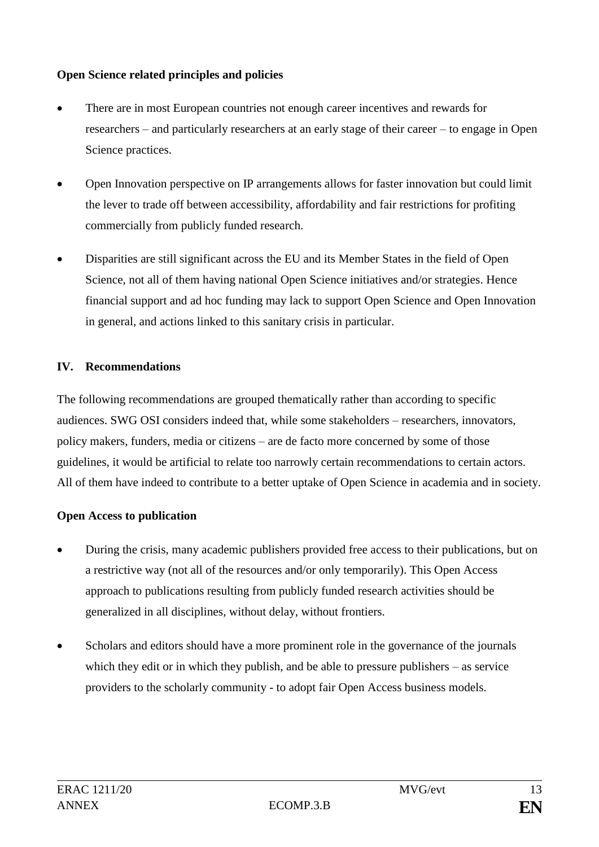## **Open Science related principles and policies**

- There are in most European countries not enough career incentives and rewards for researchers – and particularly researchers at an early stage of their career – to engage in Open Science practices.
- Open Innovation perspective on IP arrangements allows for faster innovation but could limit the lever to trade off between accessibility, affordability and fair restrictions for profiting commercially from publicly funded research.
- Disparities are still significant across the EU and its Member States in the field of Open Science, not all of them having national Open Science initiatives and/or strategies. Hence financial support and ad hoc funding may lack to support Open Science and Open Innovation in general, and actions linked to this sanitary crisis in particular.

# **IV. Recommendations**

The following recommendations are grouped thematically rather than according to specific audiences. SWG OSI considers indeed that, while some stakeholders – researchers, innovators, policy makers, funders, media or citizens – are de facto more concerned by some of those guidelines, it would be artificial to relate too narrowly certain recommendations to certain actors. All of them have indeed to contribute to a better uptake of Open Science in academia and in society.

## **Open Access to publication**

- During the crisis, many academic publishers provided free access to their publications, but on a restrictive way (not all of the resources and/or only temporarily). This Open Access approach to publications resulting from publicly funded research activities should be generalized in all disciplines, without delay, without frontiers.
- Scholars and editors should have a more prominent role in the governance of the journals which they edit or in which they publish, and be able to pressure publishers – as service providers to the scholarly community - to adopt fair Open Access business models.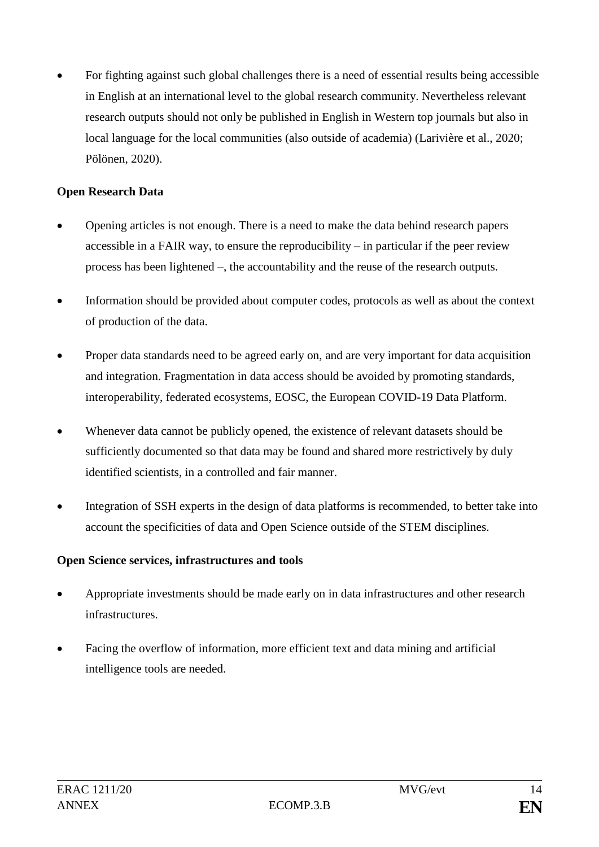For fighting against such global challenges there is a need of essential results being accessible in English at an international level to the global research community. Nevertheless relevant research outputs should not only be published in English in Western top journals but also in local language for the local communities (also outside of academia) (Larivière et al., 2020; Pölönen, 2020).

## **Open Research Data**

- Opening articles is not enough. There is a need to make the data behind research papers accessible in a FAIR way, to ensure the reproducibility – in particular if the peer review process has been lightened –, the accountability and the reuse of the research outputs.
- Information should be provided about computer codes, protocols as well as about the context of production of the data.
- Proper data standards need to be agreed early on, and are very important for data acquisition and integration. Fragmentation in data access should be avoided by promoting standards, interoperability, federated ecosystems, EOSC, the European COVID-19 Data Platform.
- Whenever data cannot be publicly opened, the existence of relevant datasets should be sufficiently documented so that data may be found and shared more restrictively by duly identified scientists, in a controlled and fair manner.
- Integration of SSH experts in the design of data platforms is recommended, to better take into account the specificities of data and Open Science outside of the STEM disciplines.

## **Open Science services, infrastructures and tools**

- Appropriate investments should be made early on in data infrastructures and other research infrastructures.
- Facing the overflow of information, more efficient text and data mining and artificial intelligence tools are needed.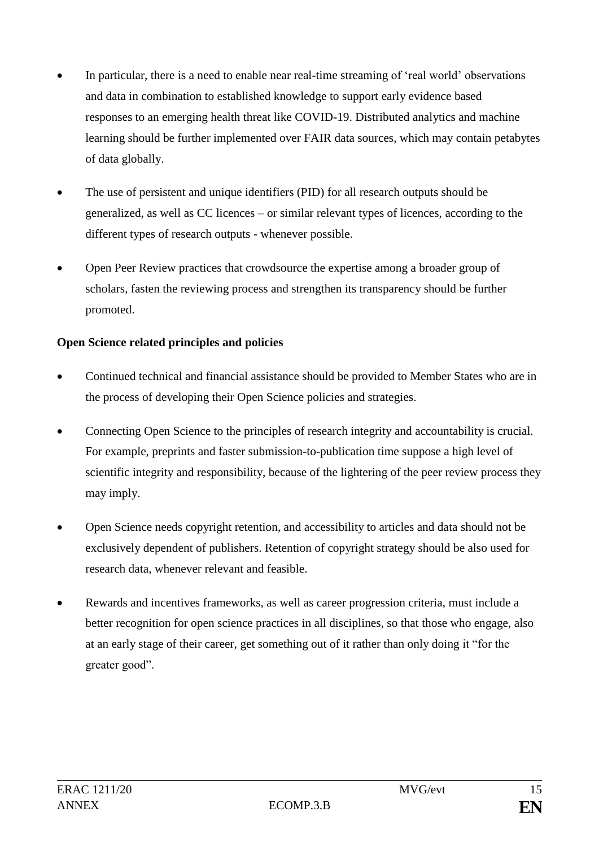- In particular, there is a need to enable near real-time streaming of 'real world' observations and data in combination to established knowledge to support early evidence based responses to an emerging health threat like COVID-19. Distributed analytics and machine learning should be further implemented over FAIR data sources, which may contain petabytes of data globally.
- The use of persistent and unique identifiers (PID) for all research outputs should be generalized, as well as CC licences – or similar relevant types of licences, according to the different types of research outputs - whenever possible.
- Open Peer Review practices that crowdsource the expertise among a broader group of scholars, fasten the reviewing process and strengthen its transparency should be further promoted.

## **Open Science related principles and policies**

- Continued technical and financial assistance should be provided to Member States who are in the process of developing their Open Science policies and strategies.
- Connecting Open Science to the principles of research integrity and accountability is crucial. For example, preprints and faster submission-to-publication time suppose a high level of scientific integrity and responsibility, because of the lightering of the peer review process they may imply.
- Open Science needs copyright retention, and accessibility to articles and data should not be exclusively dependent of publishers. Retention of copyright strategy should be also used for research data, whenever relevant and feasible.
- Rewards and incentives frameworks, as well as career progression criteria, must include a better recognition for open science practices in all disciplines, so that those who engage, also at an early stage of their career, get something out of it rather than only doing it "for the greater good".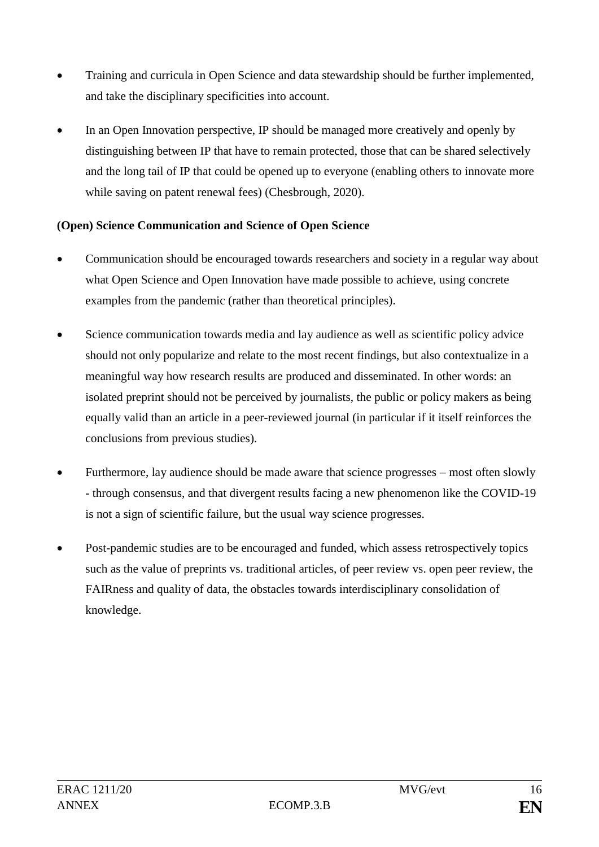- Training and curricula in Open Science and data stewardship should be further implemented, and take the disciplinary specificities into account.
- In an Open Innovation perspective, IP should be managed more creatively and openly by distinguishing between IP that have to remain protected, those that can be shared selectively and the long tail of IP that could be opened up to everyone (enabling others to innovate more while saving on patent renewal fees) (Chesbrough, 2020).

## **(Open) Science Communication and Science of Open Science**

- Communication should be encouraged towards researchers and society in a regular way about what Open Science and Open Innovation have made possible to achieve, using concrete examples from the pandemic (rather than theoretical principles).
- Science communication towards media and lay audience as well as scientific policy advice should not only popularize and relate to the most recent findings, but also contextualize in a meaningful way how research results are produced and disseminated. In other words: an isolated preprint should not be perceived by journalists, the public or policy makers as being equally valid than an article in a peer-reviewed journal (in particular if it itself reinforces the conclusions from previous studies).
- Furthermore, lay audience should be made aware that science progresses most often slowly - through consensus, and that divergent results facing a new phenomenon like the COVID-19 is not a sign of scientific failure, but the usual way science progresses.
- Post-pandemic studies are to be encouraged and funded, which assess retrospectively topics such as the value of preprints vs. traditional articles, of peer review vs. open peer review, the FAIRness and quality of data, the obstacles towards interdisciplinary consolidation of knowledge.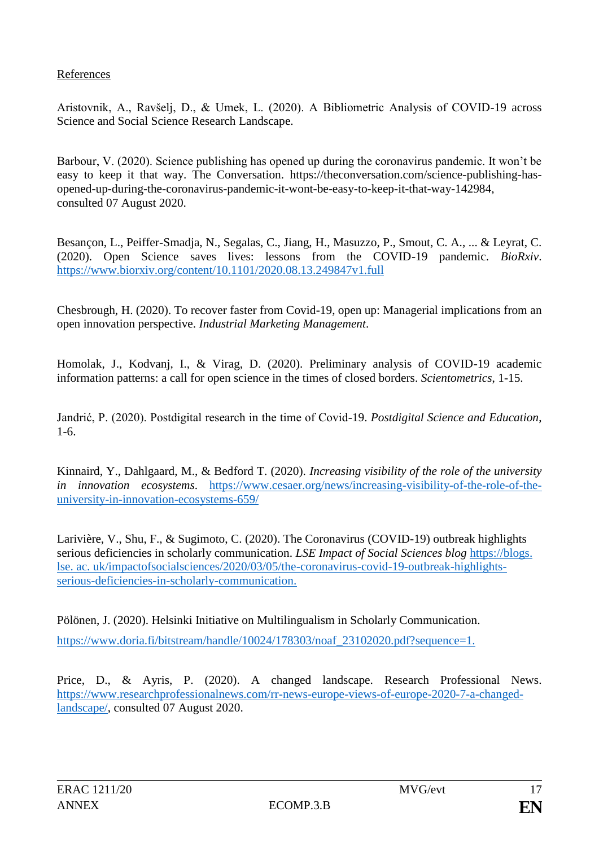### References

Aristovnik, A., Ravšelj, D., & Umek, L. (2020). A Bibliometric Analysis of COVID-19 across Science and Social Science Research Landscape.

Barbour, V. (2020). Science publishing has opened up during the coronavirus pandemic. It won't be easy to keep it that way. The Conversation. [https://theconversation.com/science-publishing-has](https://theconversation.com/science-publishing-has-opened-up-during-the-coronavirus-pandemic-it-wont-be-easy-to-keep-it-that-way-142984)[opened-up-during-the-coronavirus-pandemic-it-wont-be-easy-to-keep-it-that-way-142984,](https://theconversation.com/science-publishing-has-opened-up-during-the-coronavirus-pandemic-it-wont-be-easy-to-keep-it-that-way-142984) consulted 07 August 2020.

Besançon, L., Peiffer-Smadja, N., Segalas, C., Jiang, H., Masuzzo, P., Smout, C. A., ... & Leyrat, C. (2020). Open Science saves lives: lessons from the COVID-19 pandemic. *BioRxiv*. https://www.biorxiv.org/content/10.1101/2020.08.13.249847v1.full

Chesbrough, H. (2020). To recover faster from Covid-19, open up: Managerial implications from an open innovation perspective. *Industrial Marketing Management*.

Homolak, J., Kodvanj, I., & Virag, D. (2020). Preliminary analysis of COVID-19 academic information patterns: a call for open science in the times of closed borders. *Scientometrics*, 1-15.

Jandrić, P. (2020). Postdigital research in the time of Covid-19. *Postdigital Science and Education*, 1-6.

Kinnaird, Y., Dahlgaard, M., & Bedford T. (2020). *Increasing visibility of the role of the university in innovation ecosystems*. https://www.cesaer.org/news/increasing-visibility-of-the-role-of-theuniversity-in-innovation-ecosystems-659/

Larivière, V., Shu, F., & Sugimoto, C. (2020). The Coronavirus (COVID-19) outbreak highlights serious deficiencies in scholarly communication. *LSE Impact of Social Sciences blog* https://blogs. lse. ac. uk/impactofsocialsciences/2020/03/05/the-coronavirus-covid-19-outbreak-highlightsserious-deficiencies-in-scholarly-communication.

Pölönen, J. (2020). Helsinki Initiative on Multilingualism in Scholarly Communication. https://www.doria.fi/bitstream/handle/10024/178303/noaf\_23102020.pdf?sequence=1.

Price, D., & Ayris, P. (2020). A changed landscape. Research Professional News. [https://www.researchprofessionalnews.com/rr-news-europe-views-of-europe-2020-7-a-changed](https://www.researchprofessionalnews.com/rr-news-europe-views-of-europe-2020-7-a-changed-landscape/)[landscape/,](https://www.researchprofessionalnews.com/rr-news-europe-views-of-europe-2020-7-a-changed-landscape/) consulted 07 August 2020.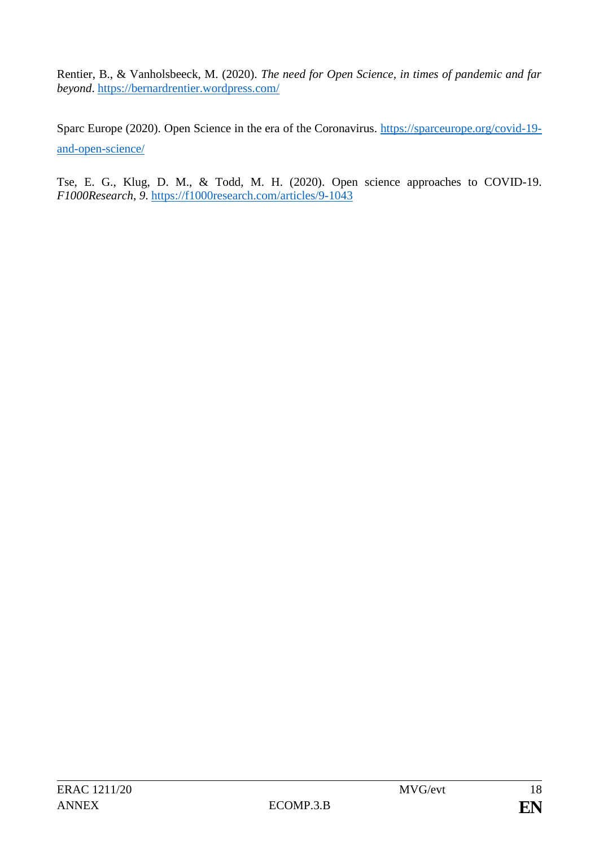Rentier, B., & Vanholsbeeck, M. (2020). *The need for Open Science, in times of pandemic and far beyond*.<https://bernardrentier.wordpress.com/>

Sparc Europe (2020). Open Science in the era of the Coronavirus. [https://sparceurope.org/covid-19](https://sparceurope.org/covid-19-and-open-science/) [and-open-science/](https://sparceurope.org/covid-19-and-open-science/)

Tse, E. G., Klug, D. M., & Todd, M. H. (2020). Open science approaches to COVID-19. *F1000Research*, *9*.<https://f1000research.com/articles/9-1043>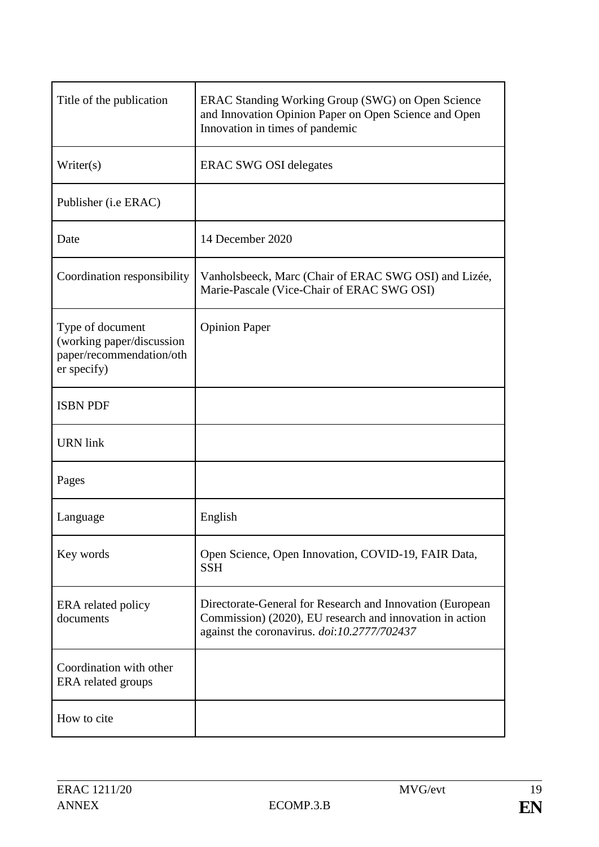| Title of the publication                                                                 | ERAC Standing Working Group (SWG) on Open Science<br>and Innovation Opinion Paper on Open Science and Open<br>Innovation in times of pandemic                        |
|------------------------------------------------------------------------------------------|----------------------------------------------------------------------------------------------------------------------------------------------------------------------|
| Writer(s)                                                                                | <b>ERAC SWG OSI delegates</b>                                                                                                                                        |
| Publisher ( <i>i.e ERAC</i> )                                                            |                                                                                                                                                                      |
| Date                                                                                     | 14 December 2020                                                                                                                                                     |
| Coordination responsibility                                                              | Vanholsbeeck, Marc (Chair of ERAC SWG OSI) and Lizée,<br>Marie-Pascale (Vice-Chair of ERAC SWG OSI)                                                                  |
| Type of document<br>(working paper/discussion<br>paper/recommendation/oth<br>er specify) | <b>Opinion Paper</b>                                                                                                                                                 |
| <b>ISBN PDF</b>                                                                          |                                                                                                                                                                      |
| <b>URN</b> link                                                                          |                                                                                                                                                                      |
| Pages                                                                                    |                                                                                                                                                                      |
| Language                                                                                 | English                                                                                                                                                              |
| Key words                                                                                | Open Science, Open Innovation, COVID-19, FAIR Data,<br><b>SSH</b>                                                                                                    |
| ERA related policy<br>documents                                                          | Directorate-General for Research and Innovation (European<br>Commission) (2020), EU research and innovation in action<br>against the coronavirus. doi:10.2777/702437 |
| Coordination with other<br>ERA related groups                                            |                                                                                                                                                                      |
| How to cite                                                                              |                                                                                                                                                                      |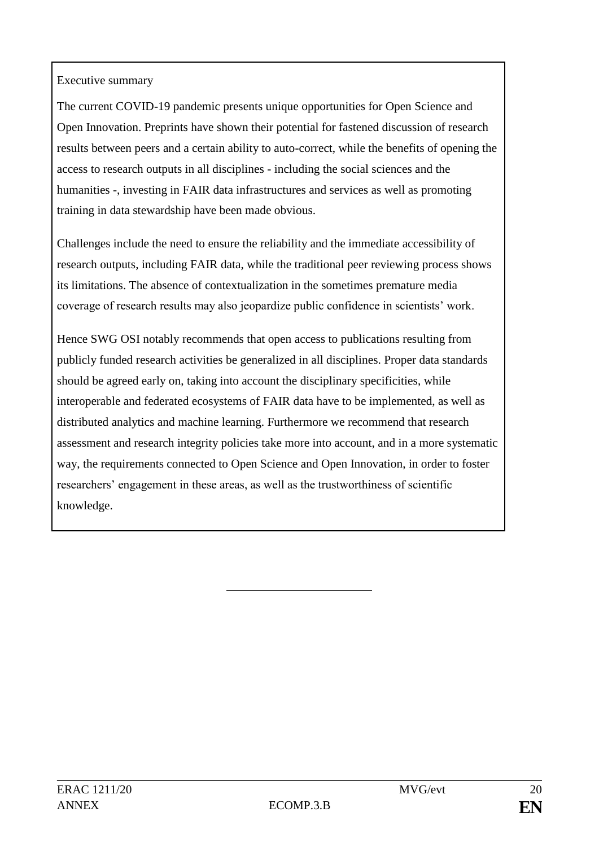## Executive summary

The current COVID-19 pandemic presents unique opportunities for Open Science and Open Innovation. Preprints have shown their potential for fastened discussion of research results between peers and a certain ability to auto-correct, while the benefits of opening the access to research outputs in all disciplines - including the social sciences and the humanities -, investing in FAIR data infrastructures and services as well as promoting training in data stewardship have been made obvious.

Challenges include the need to ensure the reliability and the immediate accessibility of research outputs, including FAIR data, while the traditional peer reviewing process shows its limitations. The absence of contextualization in the sometimes premature media coverage of research results may also jeopardize public confidence in scientists' work.

Hence SWG OSI notably recommends that open access to publications resulting from publicly funded research activities be generalized in all disciplines. Proper data standards should be agreed early on, taking into account the disciplinary specificities, while interoperable and federated ecosystems of FAIR data have to be implemented, as well as distributed analytics and machine learning. Furthermore we recommend that research assessment and research integrity policies take more into account, and in a more systematic way, the requirements connected to Open Science and Open Innovation, in order to foster researchers' engagement in these areas, as well as the trustworthiness of scientific knowledge.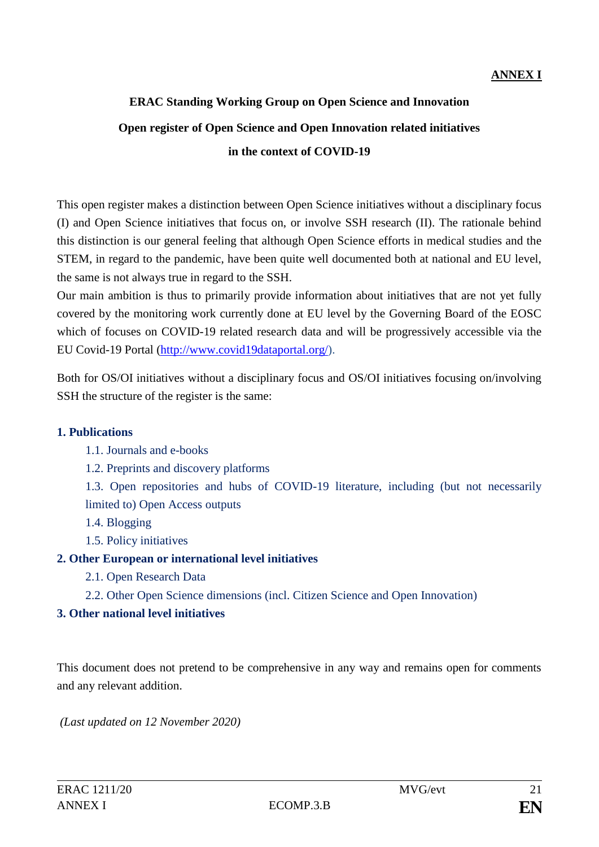# **ERAC Standing Working Group on Open Science and Innovation Open register of Open Science and Open Innovation related initiatives in the context of COVID-19**

This open register makes a distinction between Open Science initiatives without a disciplinary focus (I) and Open Science initiatives that focus on, or involve SSH research (II). The rationale behind this distinction is our general feeling that although Open Science efforts in medical studies and the STEM, in regard to the pandemic, have been quite well documented both at national and EU level, the same is not always true in regard to the SSH.

Our main ambition is thus to primarily provide information about initiatives that are not yet fully covered by the monitoring work currently done at EU level by the Governing Board of the EOSC which of focuses on COVID-19 related research data and will be progressively accessible via the EU Covid-19 Portal [\(http://www.covid19dataportal.org/\)](http://www.covid19dataportal.org/).

Both for OS/OI initiatives without a disciplinary focus and OS/OI initiatives focusing on/involving SSH the structure of the register is the same:

### **1. Publications**

- 1.1. Journals and e-books
- 1.2. Preprints and discovery platforms
- 1.3. Open repositories and hubs of COVID-19 literature, including (but not necessarily limited to) Open Access outputs
- 1.4. Blogging
- 1.5. Policy initiatives

## **2. Other European or international level initiatives**

- 2.1. Open Research Data
- 2.2. Other Open Science dimensions (incl. Citizen Science and Open Innovation)

## **3. Other national level initiatives**

This document does not pretend to be comprehensive in any way and remains open for comments and any relevant addition.

*(Last updated on 12 November 2020)*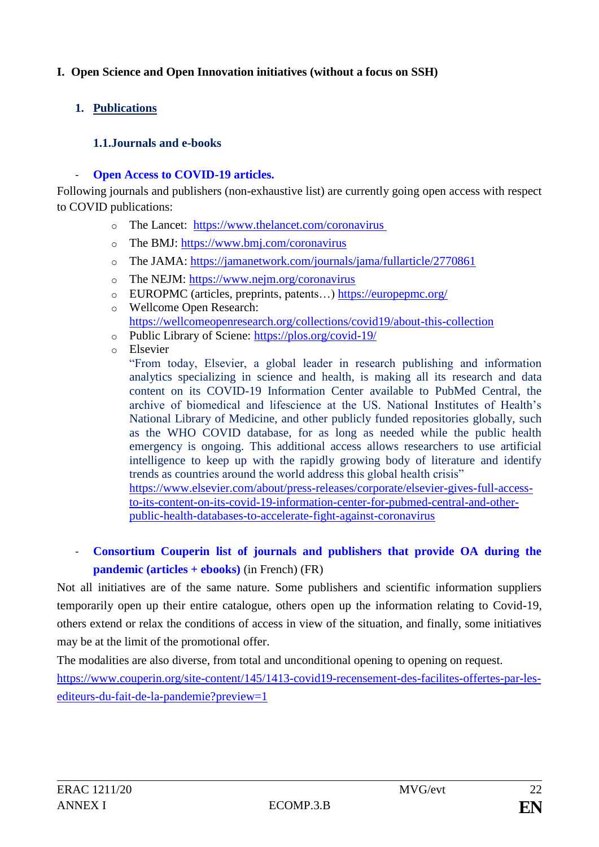## **I. Open Science and Open Innovation initiatives (without a focus on SSH)**

## **1. Publications**

## **1.1.Journals and e-books**

## **Open Access to COVID-19 articles.**

Following journals and publishers (non-exhaustive list) are currently going open access with respect to COVID publications:

- o The Lancet: [https://www.thelancet.com/coronavirus](https://eur03.safelinks.protection.outlook.com/?url=https%3A%2F%2Fwww.thelancet.com%2Fcoronavirus&data=02%7C01%7Cbart.dumolyn%40vlaanderen.be%7C077fc67724064a50065508d7d47c4454%7C0c0338a695614ee8b8d64e89cbd520a0%7C0%7C0%7C637211502491828294&sdata=qEO1YElSuhafRiqcp19AXDifgPsKQkCjWq5XQi2lUDU%3D&reserved=0)
- o The BMJ: [https://www.bmj.com/coronavirus](https://eur03.safelinks.protection.outlook.com/?url=https%3A%2F%2Fwww.bmj.com%2Fcoronavirus&data=02%7C01%7Cbart.dumolyn%40vlaanderen.be%7C077fc67724064a50065508d7d47c4454%7C0c0338a695614ee8b8d64e89cbd520a0%7C0%7C0%7C637211502491838251&sdata=IVKMJOw7LYdeiLeDWpea5dNYzFV3XCgAKebK3F%2FerJ4%3D&reserved=0)
- o The JAMA:<https://jamanetwork.com/journals/jama/fullarticle/2770861>
- o The NEJM: [https://www.nejm.org/coronavirus](https://eur03.safelinks.protection.outlook.com/?url=https%3A%2F%2Fwww.nejm.org%2Fcoronavirus&data=02%7C01%7Cbart.dumolyn%40vlaanderen.be%7C077fc67724064a50065508d7d47c4454%7C0c0338a695614ee8b8d64e89cbd520a0%7C0%7C0%7C637211502491838251&sdata=bBsvv0DS5UCB45%2Fq0MndgKFKpKmpHtfPcTp94LbhoW8%3D&reserved=0)
- o EUROPMC (articles, preprints, patents…)<https://europepmc.org/>
- o Wellcome Open Research: <https://wellcomeopenresearch.org/collections/covid19/about-this-collection>
- o Public Library of Sciene:<https://plos.org/covid-19/>
- o Elsevier

"From today, Elsevier, a global leader in research publishing and information analytics specializing in science and health, is making all its research and data content on its COVID-19 Information Center available to PubMed Central, the archive of biomedical and lifescience at the US. National Institutes of Health's National Library of Medicine, and other publicly funded repositories globally, such as the WHO COVID database, for as long as needed while the public health emergency is ongoing. This additional access allows researchers to use artificial intelligence to keep up with the rapidly growing body of literature and identify trends as countries around the world address this global health crisis"

[https://www.elsevier.com/about/press-releases/corporate/elsevier-gives-full-access](https://www.elsevier.com/about/press-releases/corporate/elsevier-gives-full-access-to-its-content-on-its-covid-19-information-center-for-pubmed-central-and-other-public-health-databases-to-accelerate-fight-against-coronavirus)[to-its-content-on-its-covid-19-information-center-for-pubmed-central-and-other](https://www.elsevier.com/about/press-releases/corporate/elsevier-gives-full-access-to-its-content-on-its-covid-19-information-center-for-pubmed-central-and-other-public-health-databases-to-accelerate-fight-against-coronavirus)[public-health-databases-to-accelerate-fight-against-coronavirus](https://www.elsevier.com/about/press-releases/corporate/elsevier-gives-full-access-to-its-content-on-its-covid-19-information-center-for-pubmed-central-and-other-public-health-databases-to-accelerate-fight-against-coronavirus)

# - **Consortium Couperin list of journals and publishers that provide OA during the pandemic (articles + ebooks)** (in French) (FR)

Not all initiatives are of the same nature. Some publishers and scientific information suppliers temporarily open up their entire catalogue, others open up the information relating to Covid-19, others extend or relax the conditions of access in view of the situation, and finally, some initiatives may be at the limit of the promotional offer.

The modalities are also diverse, from total and unconditional opening to opening on request. [https://www.couperin.org/site-content/145/1413-covid19-recensement-des-facilites-offertes-par-les](https://www.couperin.org/site-content/145/1413-covid19-recensement-des-facilites-offertes-par-les-editeurs-du-fait-de-la-pandemie?preview=1)[editeurs-du-fait-de-la-pandemie?preview=1](https://www.couperin.org/site-content/145/1413-covid19-recensement-des-facilites-offertes-par-les-editeurs-du-fait-de-la-pandemie?preview=1)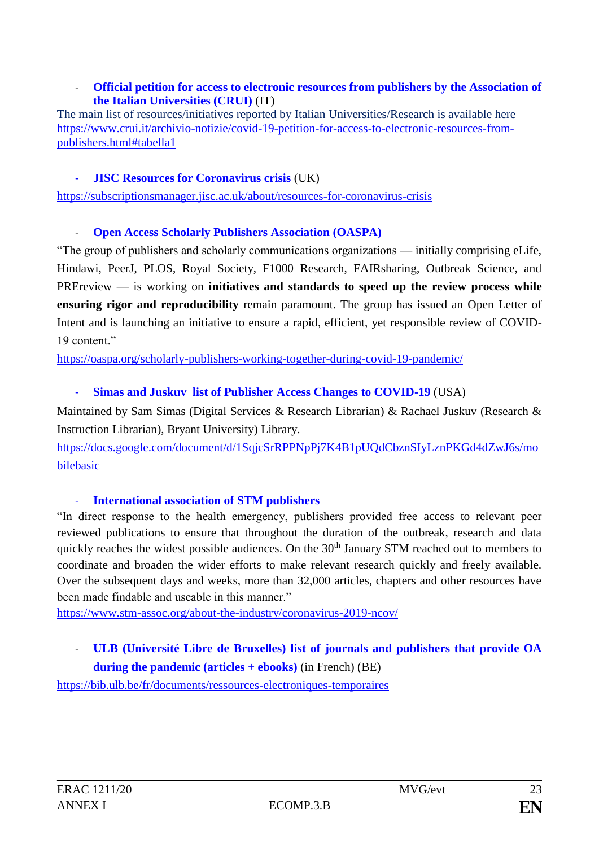### - **Official petition for access to electronic resources from publishers by the Association of the Italian Universities (CRUI)** (IT)

The main list of resources/initiatives reported by Italian Universities/Research is available here [https://www.crui.it/archivio-notizie/covid-19-petition-for-access-to-electronic-resources-from](https://www.crui.it/archivio-notizie/covid-19-petition-for-access-to-electronic-resources-from-publishers.html#tabella1)[publishers.html#tabella1](https://www.crui.it/archivio-notizie/covid-19-petition-for-access-to-electronic-resources-from-publishers.html#tabella1)

### - **JISC Resources for Coronavirus crisis** (UK)

<https://subscriptionsmanager.jisc.ac.uk/about/resources-for-coronavirus-crisis>

### **Open Access Scholarly Publishers Association (OASPA)**

"The group of publishers and scholarly communications organizations — initially comprising eLife, Hindawi, PeerJ, PLOS, Royal Society, F1000 Research, FAIRsharing, Outbreak Science, and PREreview — is working on **initiatives and standards to speed up the review process while ensuring rigor and reproducibility** remain paramount. The group has issued an [Open Letter of](https://oaspa.org/covid-19-publishers-open-letter-of-intent-rapid-review/)  [Intent](https://oaspa.org/covid-19-publishers-open-letter-of-intent-rapid-review/) and is launching an initiative to ensure a rapid, efficient, yet responsible review of COVID-19 content."

<https://oaspa.org/scholarly-publishers-working-together-during-covid-19-pandemic/>

### - **Simas and Juskuv list of Publisher Access Changes to COVID-19** (USA)

Maintained by Sam Simas (Digital Services & Research Librarian) & Rachael Juskuv (Research & Instruction Librarian), Bryant University) Library.

[https://docs.google.com/document/d/1SqjcSrRPPNpPj7K4B1pUQdCbznSIyLznPKGd4dZwJ6s/mo](https://docs.google.com/document/d/1SqjcSrRPPNpPj7K4B1pUQdCbznSIyLznPKGd4dZwJ6s/mobilebasic) [bilebasic](https://docs.google.com/document/d/1SqjcSrRPPNpPj7K4B1pUQdCbznSIyLznPKGd4dZwJ6s/mobilebasic)

### - **International association of STM publishers**

"In direct response to the health emergency, publishers provided free access to relevant peer reviewed publications to ensure that throughout the duration of the outbreak, research and data quickly reaches the widest possible audiences. On the 30<sup>th</sup> January STM reached out to members to coordinate and broaden the wider efforts to make relevant research quickly and freely available. Over the subsequent days and weeks, more than 32,000 articles, chapters and other resources have been made findable and useable in this manner."

<https://www.stm-assoc.org/about-the-industry/coronavirus-2019-ncov/>

# - **ULB (Université Libre de Bruxelles) list of journals and publishers that provide OA during the pandemic (articles + ebooks)** (in French) (BE)

<https://bib.ulb.be/fr/documents/ressources-electroniques-temporaires>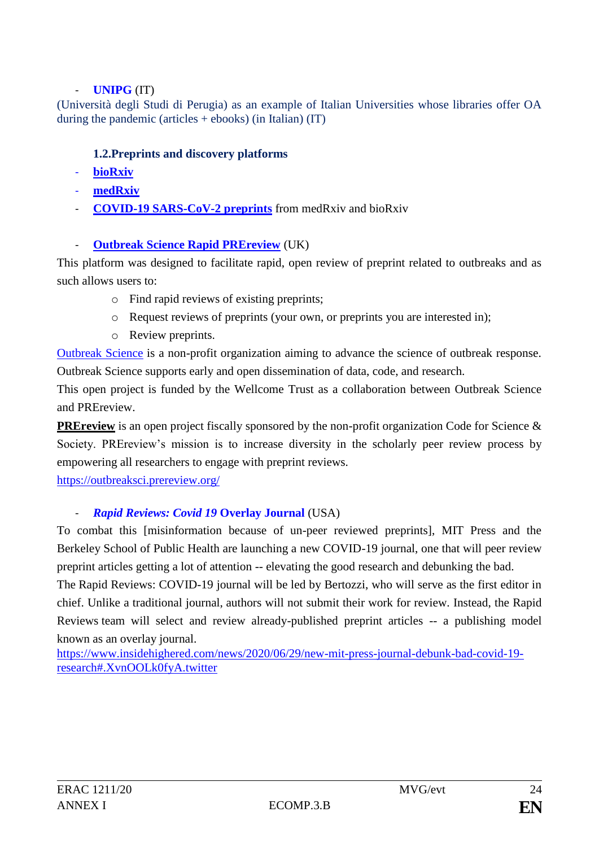## - **UNIPG** (IT)

(Università degli Studi di Perugia) as an example of Italian Universities whose libraries offer OA during the pandemic (articles  $+$  ebooks) (in Italian) (IT)

## **1.2.Preprints and discovery platforms**

- **[bioRxiv](https://www.biorxiv.org/)**
- **[medRxiv](https://www.medrxiv.org/)**
- **[COVID-19 SARS-CoV-2 preprints](http://connect.biorxiv.org/relate/content/181)** from medRxiv and bioRxiv

## - **[Outbreak Science Rapid PREreview](https://outbreaksci.prereview.org/)** (UK)

This platform was designed to facilitate rapid, open review of preprint related to outbreaks and as such allows users to:

- o Find rapid reviews of existing preprints;
- o Request reviews of preprints (your own, or preprints you are interested in);
- o Review preprints.

[Outbreak Science](https://outbreakscience.org/) is a non-profit organization aiming to advance the science of outbreak response. Outbreak Science supports early and open dissemination of data, code, and research.

This open project is funded by the Wellcome Trust as a collaboration between Outbreak Science and PREreview.

**[PREreview](https://v2.prereview.org/)** is an open project fiscally sponsored by the non-profit organization Code for Science & Society. PREreview's mission is to increase diversity in the scholarly peer review process by empowering all researchers to engage with preprint reviews.

<https://outbreaksci.prereview.org/>

## - *Rapid Reviews: Covid 19* **Overlay Journal** (USA)

To combat this [misinformation because of un-peer reviewed preprints], MIT Press and the Berkeley School of Public Health are launching a new COVID-19 journal, one that will peer review preprint articles getting a lot of attention -- elevating the good research and debunking the bad.

The [Rapid Reviews: COVID-19](https://rapidreviewscovid19.mitpress.mit.edu/) journal will be led by Bertozzi, who will serve as the first editor in chief. Unlike a traditional journal, authors will not submit their work for review. Instead, the Rapid Reviews team will select and review already-published preprint articles -- a publishing model known as an overlay journal.

[https://www.insidehighered.com/news/2020/06/29/new-mit-press-journal-debunk-bad-covid-19](https://www.insidehighered.com/news/2020/06/29/new-mit-press-journal-debunk-bad-covid-19-research#.XvnOOLk0fyA.twitter) [research#.XvnOOLk0fyA.twitter](https://www.insidehighered.com/news/2020/06/29/new-mit-press-journal-debunk-bad-covid-19-research#.XvnOOLk0fyA.twitter)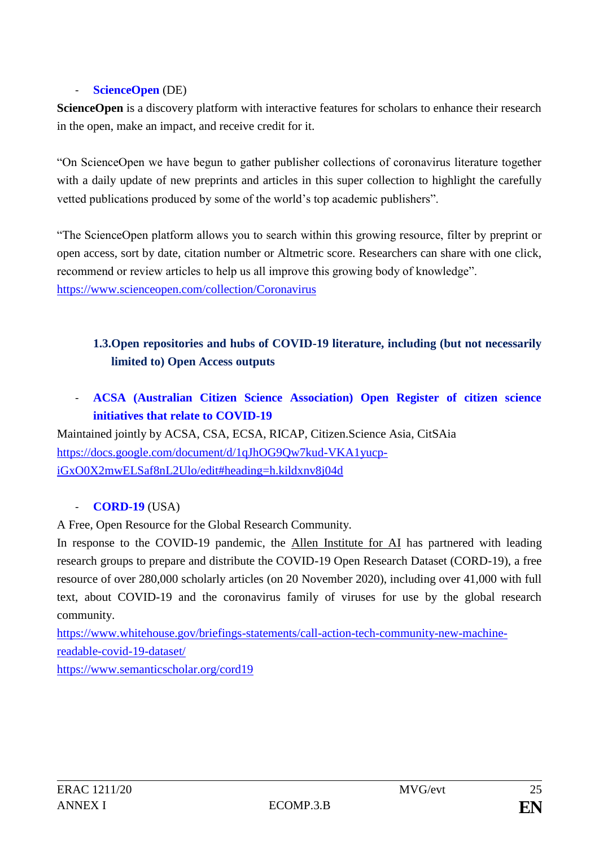## - **[ScienceOpen](https://www.scienceopen.com/)** (DE)

**ScienceOpen** is a discovery platform with interactive features for scholars to enhance their research in the open, make an impact, and receive credit for it.

"On ScienceOpen we have begun to gather publisher collections of coronavirus literature together with a daily update of new preprints and articles in this super collection to highlight the carefully vetted publications produced by some of the world's top academic publishers".

"The ScienceOpen platform allows you to search within this growing resource, filter by preprint or open access, sort by date, citation number or Altmetric score. Researchers can share with one click, recommend or review articles to help us all improve this growing body of knowledge". <https://www.scienceopen.com/collection/Coronavirus>

# **1.3.Open repositories and hubs of COVID-19 literature, including (but not necessarily limited to) Open Access outputs**

- **ACSA (Australian Citizen Science Association) Open Register of citizen science initiatives that relate to COVID-19**

Maintained jointly by ACSA, CSA, ECSA, RICAP, Citizen.Science Asia, CitSAia [https://docs.google.com/document/d/1qJhOG9Qw7kud-VKA1yucp](https://docs.google.com/document/d/1qJhOG9Qw7kud-VKA1yucp-iGxO0X2mwELSaf8nL2Ulo/edit#heading=h.kildxnv8j04d)[iGxO0X2mwELSaf8nL2Ulo/edit#heading=h.kildxnv8j04d](https://docs.google.com/document/d/1qJhOG9Qw7kud-VKA1yucp-iGxO0X2mwELSaf8nL2Ulo/edit#heading=h.kildxnv8j04d)

## - **[CORD-19](https://pages.semanticscholar.org/coronavirus-research)** (USA)

A Free, Open Resource for the Global Research Community.

In response to the COVID-19 pandemic, the [Allen Institute for AI](https://allenai.org/) has partnered with leading research groups to prepare and distribute the COVID-19 Open Research Dataset (CORD-19), a free resource of over 280,000 scholarly articles (on 20 November 2020), including over 41,000 with full text, about COVID-19 and the coronavirus family of viruses for use by the global research community.

[https://www.whitehouse.gov/briefings-statements/call-action-tech-community-new-machine](https://www.whitehouse.gov/briefings-statements/call-action-tech-community-new-machine-readable-covid-19-dataset/)[readable-covid-19-dataset/](https://www.whitehouse.gov/briefings-statements/call-action-tech-community-new-machine-readable-covid-19-dataset/)

<https://www.semanticscholar.org/cord19>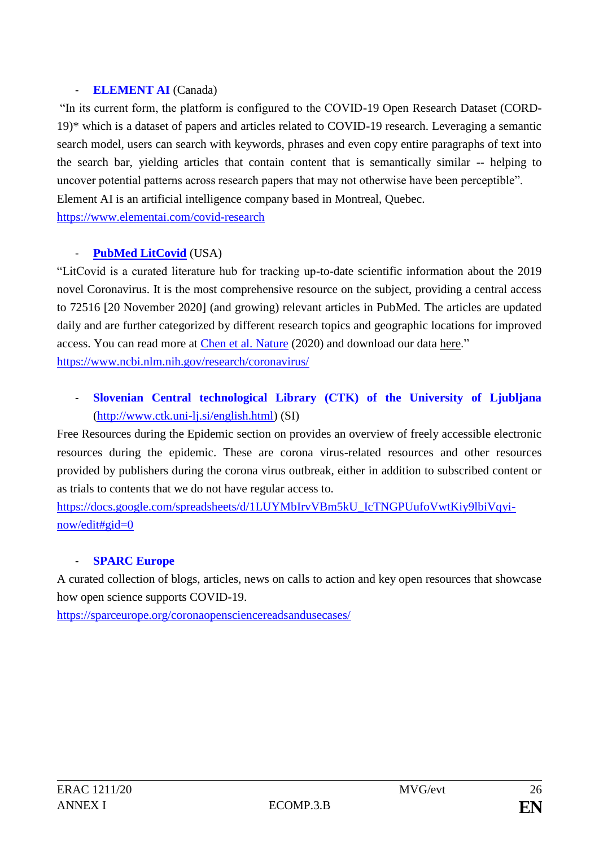## - **ELEMENT AI** (Canada)

"In its current form, the platform is configured to the COVID-19 Open Research Dataset (CORD-19)\* which is a dataset of papers and articles related to COVID-19 research. Leveraging a semantic search model, users can search with keywords, phrases and even copy entire paragraphs of text into the search bar, yielding articles that contain content that is semantically similar -- helping to uncover potential patterns across research papers that may not otherwise have been perceptible". Element AI is an artificial intelligence company based in Montreal, Quebec. <https://www.elementai.com/covid-research>

## - **PubMed [LitCovid](https://www.ncbi.nlm.nih.gov/research/coronavirus/)** (USA)

"LitCovid is a curated literature hub for tracking up-to-date scientific information about the 2019 novel Coronavirus. It is the most comprehensive resource on the subject, providing a central access to 72516 [20 November 2020] (and growing) relevant articles in PubMed. The articles are updated daily and are further categorized by different research topics and geographic locations for improved access. You can read more at *Chen et al. Nature* (2020) and download our data [here.](https://www.ncbi.nlm.nih.gov/research/coronavirus/#data-download)" [https://www.ncbi.nlm.nih.gov/research/coronavirus/](https://eur03.safelinks.protection.outlook.com/?url=https%3A%2F%2Fwww.ncbi.nlm.nih.gov%2Fresearch%2Fcoronavirus%2F&data=02%7C01%7Cbart.dumolyn%40vlaanderen.be%7C077fc67724064a50065508d7d47c4454%7C0c0338a695614ee8b8d64e89cbd520a0%7C0%7C0%7C637211502491828294&sdata=XmgaK6iudcUDUpR58eydFGa1eNVhblGT2RoOZqyGSBE%3D&reserved=0)

# - **Slovenian Central technological Library (CTK) of the University of Ljubljana** [\(http://www.ctk.uni-lj.si/english.html\)](http://www.ctk.uni-lj.si/english.html) (SI)

Free Resources during the Epidemic section on provides an overview of freely accessible electronic resources during the epidemic. These are corona virus-related resources and other resources provided by publishers during the corona virus outbreak, either in addition to subscribed content or as trials to contents that we do not have regular access to.

[https://docs.google.com/spreadsheets/d/1LUYMbIrvVBm5kU\\_IcTNGPUufoVwtKiy9lbiVqyi](https://docs.google.com/spreadsheets/d/1LUYMbIrvVBm5kU_IcTNGPUufoVwtKiy9lbiVqyi-now/edit#gid=0)[now/edit#gid=0](https://docs.google.com/spreadsheets/d/1LUYMbIrvVBm5kU_IcTNGPUufoVwtKiy9lbiVqyi-now/edit#gid=0)

## - **SPARC Europe**

A curated collection of blogs, articles, news on calls to action and key open resources that showcase how open science supports COVID-19.

https://sparceurope.org/coronaopensciencereadsandusecases/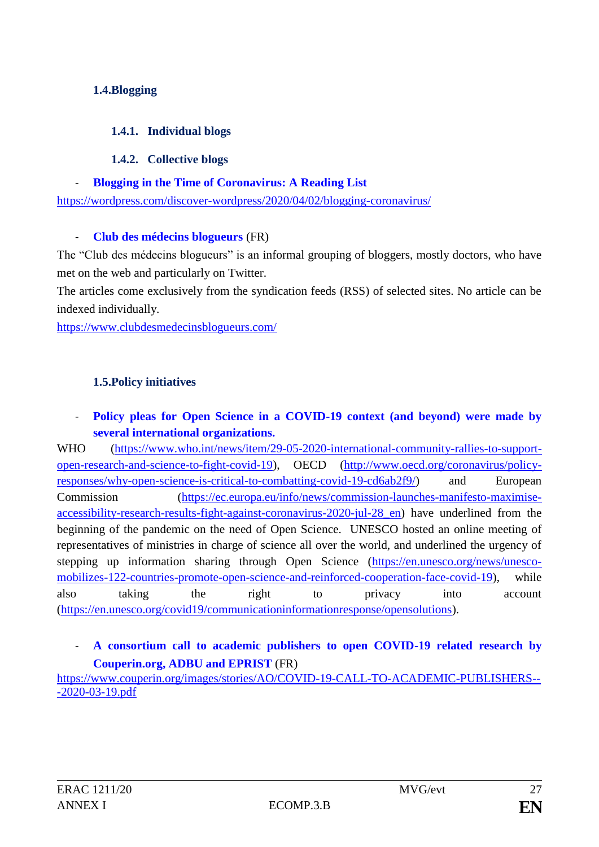## **1.4.Blogging**

### **1.4.1. Individual blogs**

### **1.4.2. Collective blogs**

### - **Blogging in the Time of Coronavirus: A Reading List**

<https://wordpress.com/discover-wordpress/2020/04/02/blogging-coronavirus/>

### - **Club des médecins blogueurs** (FR)

The "Club des médecins blogueurs" is an informal grouping of bloggers, mostly doctors, who have met on the web and particularly on Twitter.

The articles come exclusively from the syndication feeds (RSS) of selected sites. No article can be indexed individually.

<https://www.clubdesmedecinsblogueurs.com/>

## **1.5.Policy initiatives**

## Policy pleas for Open Science in a COVID-19 context (and beyond) were made by **several international organizations.**

WHO [\(https://www.who.int/news/item/29-05-2020-international-community-rallies-to-support](https://www.who.int/news/item/29-05-2020-international-community-rallies-to-support-open-research-and-science-to-fight-covid-19)[open-research-and-science-to-fight-covid-19\)](https://www.who.int/news/item/29-05-2020-international-community-rallies-to-support-open-research-and-science-to-fight-covid-19), OECD [\(http://www.oecd.org/coronavirus/policy](http://www.oecd.org/coronavirus/policy-responses/why-open-science-is-critical-to-combatting-covid-19-cd6ab2f9/)[responses/why-open-science-is-critical-to-combatting-covid-19-cd6ab2f9/\)](http://www.oecd.org/coronavirus/policy-responses/why-open-science-is-critical-to-combatting-covid-19-cd6ab2f9/) and European Commission [\(https://ec.europa.eu/info/news/commission-launches-manifesto-maximise](https://ec.europa.eu/info/news/commission-launches-manifesto-maximise-accessibility-research-results-fight-against-coronavirus-2020-jul-28_en)accessibility-research-results-fight-against-coronavirus-2020-jul-28 en) have underlined from the beginning of the pandemic on the need of Open Science. UNESCO hosted an online meeting of representatives of ministries in charge of science all over the world, and underlined the urgency of stepping up information sharing through Open Science [\(https://en.unesco.org/news/unesco](https://en.unesco.org/news/unesco-mobilizes-122-countries-promote-open-science-and-reinforced-cooperation-face-covid-19)[mobilizes-122-countries-promote-open-science-and-reinforced-cooperation-face-covid-19\)](https://en.unesco.org/news/unesco-mobilizes-122-countries-promote-open-science-and-reinforced-cooperation-face-covid-19), while also taking the right to privacy into account [\(https://en.unesco.org/covid19/communicationinformationresponse/opensolutions\)](https://en.unesco.org/covid19/communicationinformationresponse/opensolutions).

## - **A consortium call to academic publishers to open COVID-19 related research by Couperin.org, ADBU and EPRIST** (FR)

[https://www.couperin.org/images/stories/AO/COVID-19-CALL-TO-ACADEMIC-PUBLISHERS--](https://www.couperin.org/images/stories/AO/COVID-19-CALL-TO-ACADEMIC-PUBLISHERS---2020-03-19.pdf) [-2020-03-19.pdf](https://www.couperin.org/images/stories/AO/COVID-19-CALL-TO-ACADEMIC-PUBLISHERS---2020-03-19.pdf)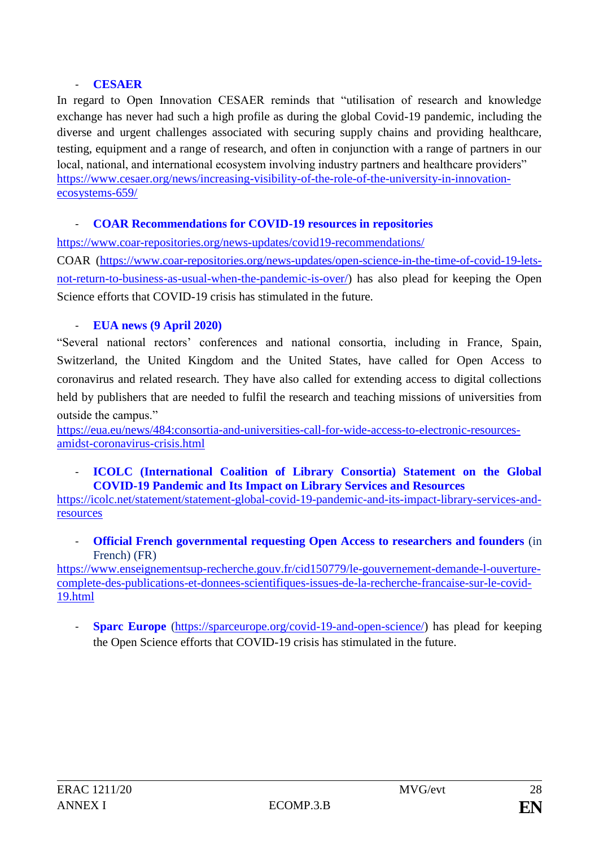### - **CESAER**

In regard to Open Innovation CESAER reminds that "utilisation of research and knowledge exchange has never had such a high profile as during the global Covid-19 pandemic, including the diverse and urgent challenges associated with securing supply chains and providing healthcare, testing, equipment and a range of research, and often in conjunction with a range of partners in our local, national, and international ecosystem involving industry partners and healthcare providers" https://www.cesaer.org/news/increasing-visibility-of-the-role-of-the-university-in-innovationecosystems-659/

## - **COAR Recommendations for COVID-19 resources in repositories**

<https://www.coar-repositories.org/news-updates/covid19-recommendations/>

COAR [\(https://www.coar-repositories.org/news-updates/open-science-in-the-time-of-covid-19-lets](https://www.coar-repositories.org/news-updates/open-science-in-the-time-of-covid-19-lets-not-return-to-business-as-usual-when-the-pandemic-is-over/)[not-return-to-business-as-usual-when-the-pandemic-is-over/\)](https://www.coar-repositories.org/news-updates/open-science-in-the-time-of-covid-19-lets-not-return-to-business-as-usual-when-the-pandemic-is-over/) has also plead for keeping the Open Science efforts that COVID-19 crisis has stimulated in the future.

## - **EUA news (9 April 2020)**

"Several national rectors' conferences and national consortia, including in [France,](https://www.couperin.org/images/stories/AO/COVID-19-CALL-TO-ACADEMIC-PUBLISHERS---2020-03-19.pdf) [Spain,](http://blog.csuc.cat/wp-content/uploads/2020/03/Statement_on_open_and_sustainable_knowledge.pdf) [Switzerland,](https://www.swissuniversities.ch/fileadmin/swissuniversities/Dokumente/Hochschulpolitik/Open_Access/COVID_19_-_swiss_call_to_publishers_E.pdf) the [United Kingdom](https://sconul.ac.uk/sites/default/files/documents/Statement_on_access_to_content_in_response_to_COVID-19.pdf) and the [United States,](https://www.arl.org/news/arl-urges-publishers-to-maximize-access-to-digital-content-during-covid-19-pandemic/) have called for Open Access to coronavirus and related research. They have also called for extending access to digital collections held by publishers that are needed to fulfil the research and teaching missions of universities from outside the campus."

[https://eua.eu/news/484:consortia-and-universities-call-for-wide-access-to-electronic-resources](https://eua.eu/news/484:consortia-and-universities-call-for-wide-access-to-electronic-resources-amidst-coronavirus-crisis.html)[amidst-coronavirus-crisis.html](https://eua.eu/news/484:consortia-and-universities-call-for-wide-access-to-electronic-resources-amidst-coronavirus-crisis.html)

- **ICOLC (International Coalition of Library Consortia) Statement on the Global COVID-19 Pandemic and Its Impact on Library Services and Resources** 

[https://icolc.net/statement/statement-global-covid-19-pandemic-and-its-impact-library-services-and](https://icolc.net/statement/statement-global-covid-19-pandemic-and-its-impact-library-services-and-resources)[resources](https://icolc.net/statement/statement-global-covid-19-pandemic-and-its-impact-library-services-and-resources)

**Official French governmental requesting Open Access to researchers and founders** (in French) (FR)

[https://www.enseignementsup-recherche.gouv.fr/cid150779/le-gouvernement-demande-l-ouverture](https://www.enseignementsup-recherche.gouv.fr/cid150779/le-gouvernement-demande-l-ouverture-complete-des-publications-et-donnees-scientifiques-issues-de-la-recherche-francaise-sur-le-covid-19.html)[complete-des-publications-et-donnees-scientifiques-issues-de-la-recherche-francaise-sur-le-covid-](https://www.enseignementsup-recherche.gouv.fr/cid150779/le-gouvernement-demande-l-ouverture-complete-des-publications-et-donnees-scientifiques-issues-de-la-recherche-francaise-sur-le-covid-19.html)[19.html](https://www.enseignementsup-recherche.gouv.fr/cid150779/le-gouvernement-demande-l-ouverture-complete-des-publications-et-donnees-scientifiques-issues-de-la-recherche-francaise-sur-le-covid-19.html)

- **Sparc Europe** [\(https://sparceurope.org/covid-19-and-open-science/\)](https://sparceurope.org/covid-19-and-open-science/) has plead for keeping the Open Science efforts that COVID-19 crisis has stimulated in the future.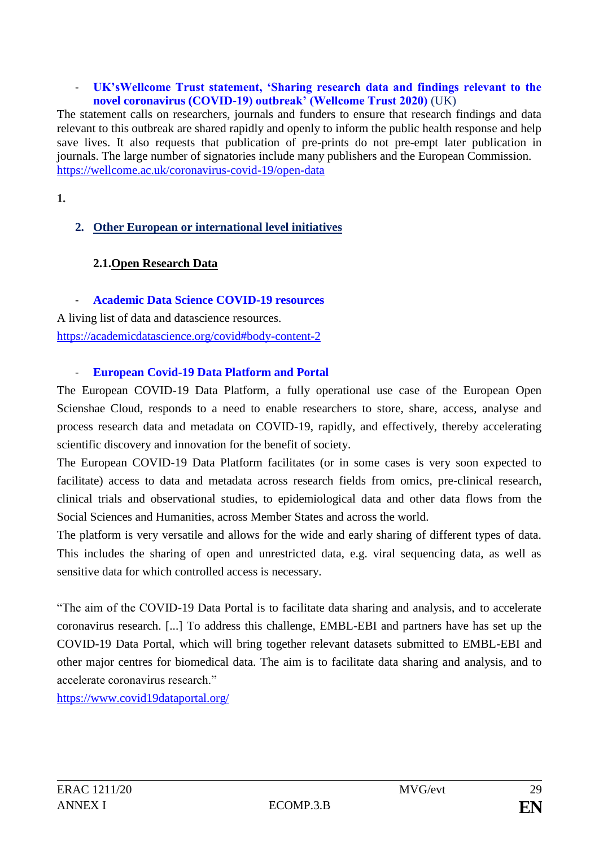#### - **UK'sWellcome Trust statement, 'Sharing research data and findings relevant to the novel coronavirus (COVID-19) outbreak' (Wellcome Trust 2020)** (UK)

The statement calls on researchers, journals and funders to ensure that research findings and data relevant to this outbreak are shared rapidly and openly to inform the public health response and help save lives. It also requests that publication of pre-prints do not pre-empt later publication in journals. The large number of signatories include many publishers and the European Commission. <https://wellcome.ac.uk/coronavirus-covid-19/open-data>

**1.**

## **2. Other European or international level initiatives**

## **2.1.Open Research Data**

- **Academic Data Science COVID-19 resources**

A living list of data and datascience resources. <https://academicdatascience.org/covid#body-content-2>

### - **European Covid-19 Data Platform and Portal**

The European COVID-19 Data Platform, a fully operational use case of the European Open Scienshae Cloud, responds to a need to enable researchers to store, share, access, analyse and process research data and metadata on COVID-19, rapidly, and effectively, thereby accelerating scientific discovery and innovation for the benefit of society.

The European COVID-19 Data Platform facilitates (or in some cases is very soon expected to facilitate) access to data and metadata across research fields from omics, pre-clinical research, clinical trials and observational studies, to epidemiological data and other data flows from the Social Sciences and Humanities, across Member States and across the world.

The platform is very versatile and allows for the wide and early sharing of different types of data. This includes the sharing of open and unrestricted data, e.g. viral sequencing data, as well as sensitive data for which controlled access is necessary.

"The aim of the COVID-19 Data Portal is to facilitate data sharing and analysis, and to accelerate coronavirus research. [...] To address this challenge, EMBL-EBI and partners have has set up the COVID-19 Data Portal, which will bring together relevant datasets submitted to EMBL-EBI and other major centres for biomedical data. The aim is to facilitate data sharing and analysis, and to accelerate coronavirus research."

<https://www.covid19dataportal.org/>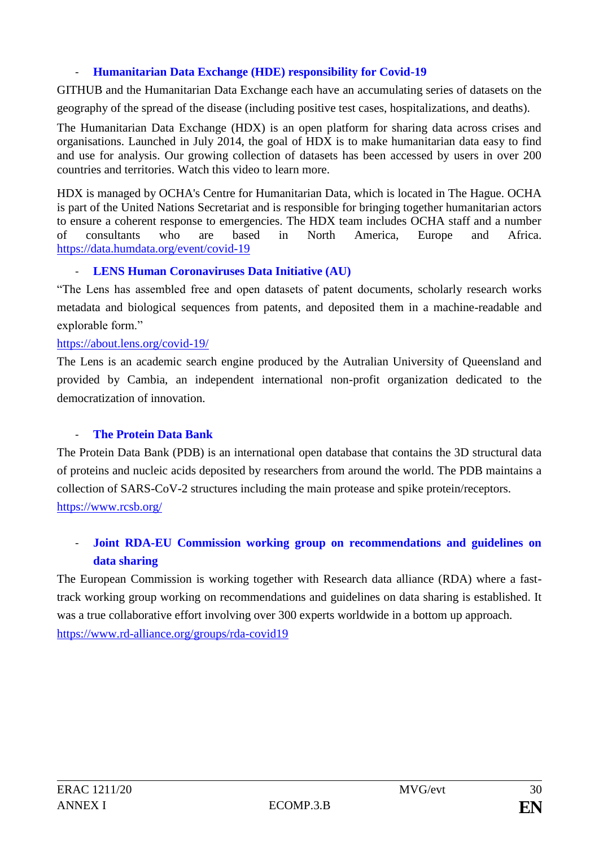## - **Humanitarian Data Exchange (HDE) responsibility for Covid-19**

GITHUB and the Humanitarian Data Exchange each have an accumulating series of datasets on the geography of the spread of the disease (including positive test cases, hospitalizations, and deaths).

The Humanitarian Data Exchange (HDX) is an open platform for sharing data across crises and organisations. Launched in July 2014, the goal of HDX is to make humanitarian data easy to find and use for analysis. Our growing collection of datasets has been accessed by users in over 200 countries and territories. Watch this [video](https://www.youtube.com/watch?v=7QX5Ji5gl9g) to learn more.

HDX is managed by OCHA's [Centre for Humanitarian Data,](https://centre.humdata.org/) which is located in The Hague. OCHA is part of the United Nations Secretariat and is responsible for bringing together humanitarian actors to ensure a coherent response to emergencies. The HDX team includes OCHA staff and a number of consultants who are based in North America, Europe and Africa. <https://data.humdata.org/event/covid-19>

## - **LENS Human Coronaviruses Data Initiative (AU)**

"The Lens has assembled free and open datasets of patent documents, scholarly research works metadata and biological sequences from patents, and deposited them in a machine-readable and explorable form."

### <https://about.lens.org/covid-19/>

The Lens is an academic search engine produced by the Autralian University of Queensland and provided by Cambia, an independent international non-profit organization dedicated to the democratization of innovation.

## **The Protein Data Bank**

The Protein Data Bank (PDB) is an international open database that contains the 3D structural data of proteins and nucleic acids deposited by researchers from around the world. The PDB maintains a collection of SARS-CoV-2 structures including the main protease and spike protein/receptors. <https://www.rcsb.org/>

# - **Joint RDA-EU Commission working group on recommendations and guidelines on data sharing**

The European Commission is working together with Research data alliance (RDA) where a fasttrack working group working on recommendations and guidelines on data sharing is established. It was a true collaborative effort involving over 300 experts worldwide in a bottom up approach. <https://www.rd-alliance.org/groups/rda-covid19>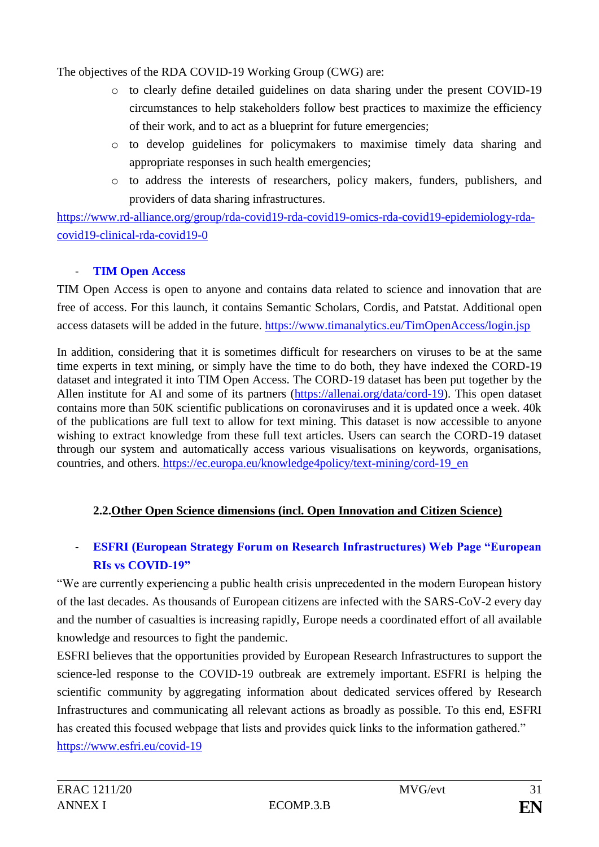The objectives of the RDA COVID-19 Working Group (CWG) are:

- o to clearly define detailed guidelines on data sharing under the present COVID-19 circumstances to help stakeholders follow best practices to maximize the efficiency of their work, and to act as a blueprint for future emergencies;
- o to develop guidelines for policymakers to maximise timely data sharing and appropriate responses in such health emergencies;
- o to address the interests of researchers, policy makers, funders, publishers, and providers of data sharing infrastructures.

[https://www.rd-alliance.org/group/rda-covid19-rda-covid19-omics-rda-covid19-epidemiology-rda](https://www.rd-alliance.org/group/rda-covid19-rda-covid19-omics-rda-covid19-epidemiology-rda-covid19-clinical-rda-covid19-0)[covid19-clinical-rda-covid19-0](https://www.rd-alliance.org/group/rda-covid19-rda-covid19-omics-rda-covid19-epidemiology-rda-covid19-clinical-rda-covid19-0)

# - **TIM Open Access**

TIM Open Access is open to anyone and contains data related to science and innovation that are free of access. For this launch, it contains Semantic Scholars, Cordis, and Patstat. Additional open access datasets will be added in the future. <https://www.timanalytics.eu/TimOpenAccess/login.jsp>

In addition, considering that it is sometimes difficult for researchers on viruses to be at the same time experts in text mining, or simply have the time to do both, they have indexed the CORD-19 dataset and integrated it into TIM Open Access. The CORD-19 dataset has been put together by the Allen institute for AI and some of its partners [\(https://allenai.org/data/cord-19\)](https://allenai.org/data/cord-19). This open dataset contains more than 50K scientific publications on coronaviruses and it is updated once a week. 40k of the publications are full text to allow for text mining. This dataset is now accessible to anyone wishing to extract knowledge from these full text articles. Users can search the CORD-19 dataset through our system and automatically access various visualisations on keywords, organisations, countries, and others. [https://ec.europa.eu/knowledge4policy/text-mining/cord-19\\_en](https://ec.europa.eu/knowledge4policy/text-mining/cord-19_en)

# **2.2.Other Open Science dimensions (incl. Open Innovation and Citizen Science)**

# - **ESFRI (European Strategy Forum on Research Infrastructures) Web Page "European RIs vs COVID-19"**

"We are currently experiencing a public health crisis unprecedented in the modern European history of the last decades. As thousands of European citizens are infected with the SARS-CoV-2 every day and the number of casualties is increasing rapidly, Europe needs a coordinated effort of all available knowledge and resources to fight the pandemic.

ESFRI believes that the opportunities provided by European Research Infrastructures to support the science-led response to the COVID-19 outbreak are extremely important. ESFRI is helping the scientific community by aggregating information about dedicated services offered by Research Infrastructures and communicating all relevant actions as broadly as possible. To this end, ESFRI has created this focused webpage that lists and provides quick links to the information gathered." <https://www.esfri.eu/covid-19>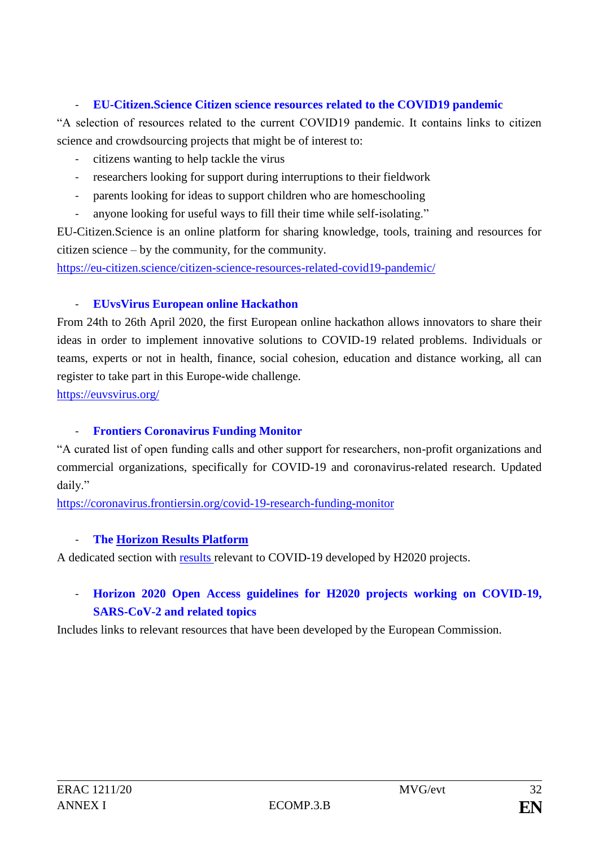## - **EU-Citizen.Science Citizen science resources related to the COVID19 pandemic**

"A selection of resources related to the current COVID19 pandemic. It contains links to citizen science and crowdsourcing projects that might be of interest to:

- citizens wanting to help tackle the virus
- researchers looking for support during interruptions to their fieldwork
- parents looking for ideas to support children who are homeschooling
- anyone looking for useful ways to fill their time while self-isolating."

EU-Citizen.Science is an online platform for sharing knowledge, tools, training and resources for citizen science – by the community, for the community.

https://eu-citizen.science/citizen-science-resources-related-covid19-pandemic/

## - **EUvsVirus European online Hackathon**

From 24th to 26th April 2020, the first European online hackathon allows innovators to share their ideas in order to implement innovative solutions to COVID-19 related problems. Individuals or teams, experts or not in health, finance, social cohesion, education and distance working, all can register to take part in this Europe-wide challenge.

<https://euvsvirus.org/>

## - **Frontiers Coronavirus Funding Monitor**

"A curated list of open funding calls and other support for researchers, non-profit organizations and commercial organizations, specifically for COVID-19 and coronavirus-related research. Updated daily."

https://coronavirus.frontiersin.org/covid-19-research-funding-monitor

## - **The [Horizon Results Platform](https://ec.europa.eu/info/funding-tenders/opportunities/portal/screen/opportunities/horizon-results-platform)**

A dedicated section with [results relevant to COVID-19](https://ec.europa.eu/info/funding-tenders/opportunities/portal/screen/opportunities/horizon-results-platform/search;campaigns=1) developed by H2020 projects.

# - **Horizon 2020 [Open Access guidelines for H2020 projects working on COVID-19,](https://ec.europa.eu/research/participants/data/ref/h2020/other/hi/oa-pilot/h2020-guidelines-oa-covid-19_en.pdf)  [SARS-CoV-2 and related topics](https://ec.europa.eu/research/participants/data/ref/h2020/other/hi/oa-pilot/h2020-guidelines-oa-covid-19_en.pdf)**

Includes links to relevant resources that have been developed by the European Commission.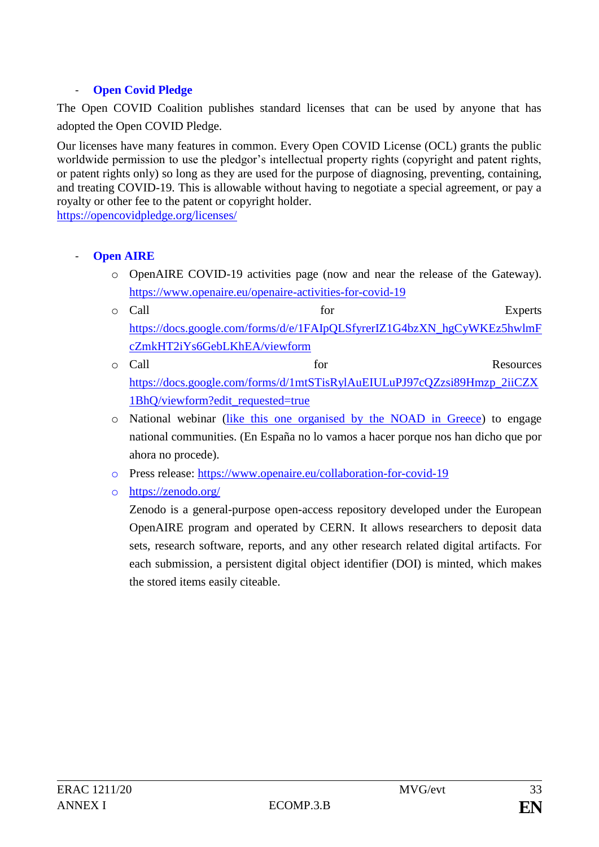## - **Open Covid Pledge**

The Open COVID Coalition publishes standard licenses that can be used by anyone that has adopted the Open COVID Pledge.

Our licenses have many features in common. Every Open COVID License (OCL) grants the public worldwide permission to use the pledgor's intellectual property rights (copyright and patent rights, or patent rights only) so long as they are used for the purpose of diagnosing, preventing, containing, and treating COVID-19. This is allowable without having to negotiate a special agreement, or pay a royalty or other fee to the patent or copyright holder.

<https://opencovidpledge.org/licenses/>

- **Open AIRE** 
	- o OpenAIRE COVID-19 activities page (now and near the release of the Gateway). <https://www.openaire.eu/openaire-activities-for-covid-19>
	- o Call for the Experts [https://docs.google.com/forms/d/e/1FAIpQLSfyrerIZ1G4bzXN\\_hgCyWKEz5hwlmF](https://docs.google.com/forms/d/e/1FAIpQLSfyrerIZ1G4bzXN_hgCyWKEz5hwlmFcZmkHT2iYs6GebLKhEA/viewform) [cZmkHT2iYs6GebLKhEA/viewform](https://docs.google.com/forms/d/e/1FAIpQLSfyrerIZ1G4bzXN_hgCyWKEz5hwlmFcZmkHT2iYs6GebLKhEA/viewform)
	- o Call for **Resources** [https://docs.google.com/forms/d/1mtSTisRylAuEIULuPJ97cQZzsi89Hmzp\\_2iiCZX](https://docs.google.com/forms/d/1mtSTisRylAuEIULuPJ97cQZzsi89Hmzp_2iiCZX1BhQ/viewform?edit_requested=true) [1BhQ/viewform?edit\\_requested=true](https://docs.google.com/forms/d/1mtSTisRylAuEIULuPJ97cQZzsi89Hmzp_2iiCZX1BhQ/viewform?edit_requested=true)
	- o National webinar [\(like this one organised by the NOAD in Greece\)](https://www.openaire.eu/events/eventdetail/716/53%7C54%7C55%7C56%7C57%7C58%7C272%7C303/covid-19-tools-activities-best-practices-and-contact-points-in-greece) to engage national communities. (En España no lo vamos a hacer porque nos han dicho que por ahora no procede).
	- o Press release:<https://www.openaire.eu/collaboration-for-covid-19>
	- o https://zenodo.org/

Zenodo is a general-purpose open-access repository developed under the European OpenAIRE program and operated by CERN. It allows researchers to deposit data sets, research software, reports, and any other research related digital artifacts. For each submission, a persistent digital object identifier (DOI) is minted, which makes the stored items easily citeable.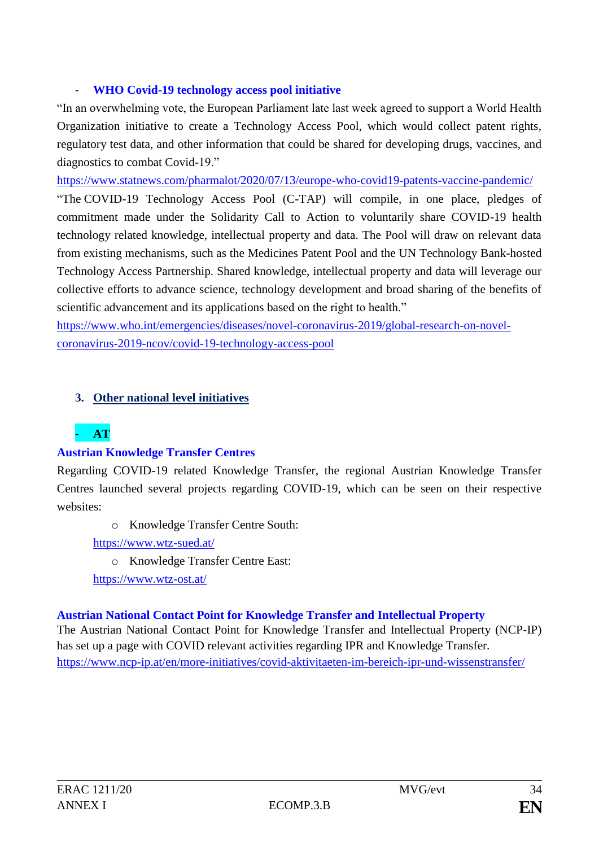## - **WHO Covid-19 technology access pool initiative**

"In an overwhelming vote, the European Parliament late last week agreed to support a World Health Organization initiative to create a Technology Access Pool, which would collect patent rights, regulatory test data, and other information that could be shared for developing drugs, vaccines, and diagnostics to combat Covid-19."

<https://www.statnews.com/pharmalot/2020/07/13/europe-who-covid19-patents-vaccine-pandemic/>

"The COVID-19 Technology Access Pool (C-TAP) will compile, in one place, pledges of commitment made under the Solidarity Call to Action to voluntarily share COVID-19 health technology related knowledge, intellectual property and data. The Pool will draw on relevant data from existing mechanisms, such as the Medicines Patent Pool and the UN Technology Bank-hosted Technology Access Partnership. Shared knowledge, intellectual property and data will leverage our collective efforts to advance science, technology development and broad sharing of the benefits of scientific advancement and its applications based on the right to health."

https://www.who.int/emergencies/diseases/novel-coronavirus-2019/global-research-on-novelcoronavirus-2019-ncov/covid-19-technology-access-pool

## **3. Other national level initiatives**

# - **AT**

## **Austrian Knowledge Transfer Centres**

Regarding COVID-19 related Knowledge Transfer, the regional Austrian Knowledge Transfer Centres launched several projects regarding COVID-19, which can be seen on their respective websites:

o Knowledge Transfer Centre South:

<https://www.wtz-sued.at/>

o Knowledge Transfer Centre East:

<https://www.wtz-ost.at/>

## **Austrian National Contact Point for Knowledge Transfer and Intellectual Property**

The Austrian National Contact Point for Knowledge Transfer and Intellectual Property (NCP-IP) has set up a page with COVID relevant activities regarding IPR and Knowledge Transfer. <https://www.ncp-ip.at/en/more-initiatives/covid-aktivitaeten-im-bereich-ipr-und-wissenstransfer/>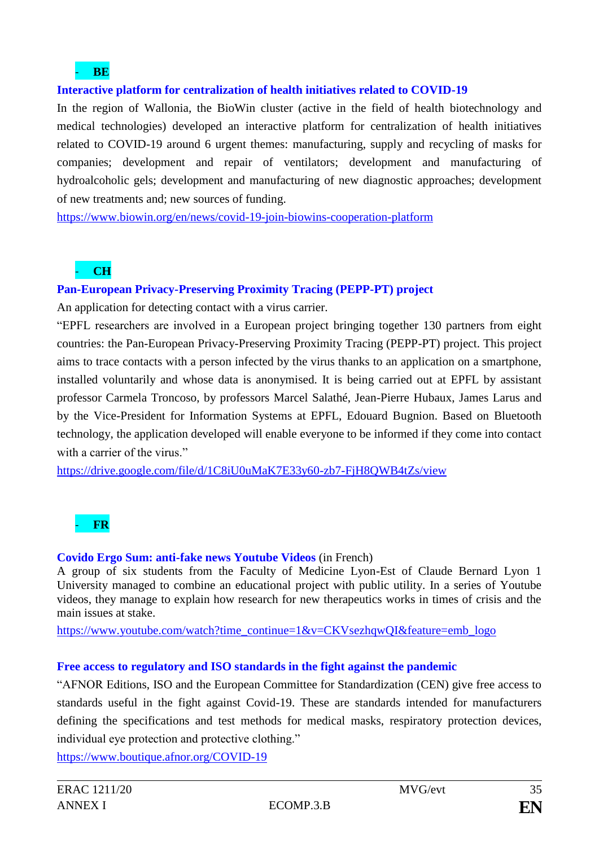### - **BE**

### **Interactive platform for centralization of health initiatives related to COVID-19**

In the region of Wallonia, the BioWin cluster (active in the field of health biotechnology and medical technologies) developed an interactive platform for centralization of health initiatives related to COVID-19 around 6 urgent themes: manufacturing, supply and recycling of masks for companies; development and repair of ventilators; development and manufacturing of hydroalcoholic gels; development and manufacturing of new diagnostic approaches; development of new treatments and; new sources of funding.

<https://www.biowin.org/en/news/covid-19-join-biowins-cooperation-platform>

## - **CH**

### **Pan-European Privacy-Preserving Proximity Tracing (PEPP-PT) project**

An application for detecting contact with a virus carrier.

"EPFL researchers are involved in a European project bringing together 130 partners from eight countries: the Pan-European Privacy-Preserving Proximity Tracing (PEPP-PT) project. This project aims to trace contacts with a person infected by the virus thanks to an application on a smartphone, installed voluntarily and whose data is anonymised. It is being carried out at EPFL by assistant professor Carmela Troncoso, by professors Marcel Salathé, Jean-Pierre Hubaux, James Larus and by the Vice-President for Information Systems at EPFL, Edouard Bugnion. Based on Bluetooth technology, the application developed will enable everyone to be informed if they come into contact with a carrier of the virus."

<https://drive.google.com/file/d/1C8iU0uMaK7E33y60-zb7-FjH8QWB4tZs/view>

- **FR**

## **Covido Ergo Sum: anti-fake news Youtube Videos** (in French)

A group of six students from the Faculty of Medicine Lyon-Est of Claude Bernard Lyon 1 University managed to combine an educational project with public utility. In a series of Youtube videos, they manage to explain how research for new therapeutics works in times of crisis and the main issues at stake.

[https://www.youtube.com/watch?time\\_continue=1&v=CKVsezhqwQI&feature=emb\\_logo](https://www.youtube.com/watch?time_continue=1&v=CKVsezhqwQI&feature=emb_logo)

### **Free access to regulatory and ISO standards in the fight against the pandemic**

"AFNOR Editions, ISO and the European Committee for Standardization (CEN) give free access to standards useful in the fight against Covid-19. These are standards intended for manufacturers defining the specifications and test methods for medical masks, respiratory protection devices, individual eye protection and protective clothing."

<https://www.boutique.afnor.org/COVID-19>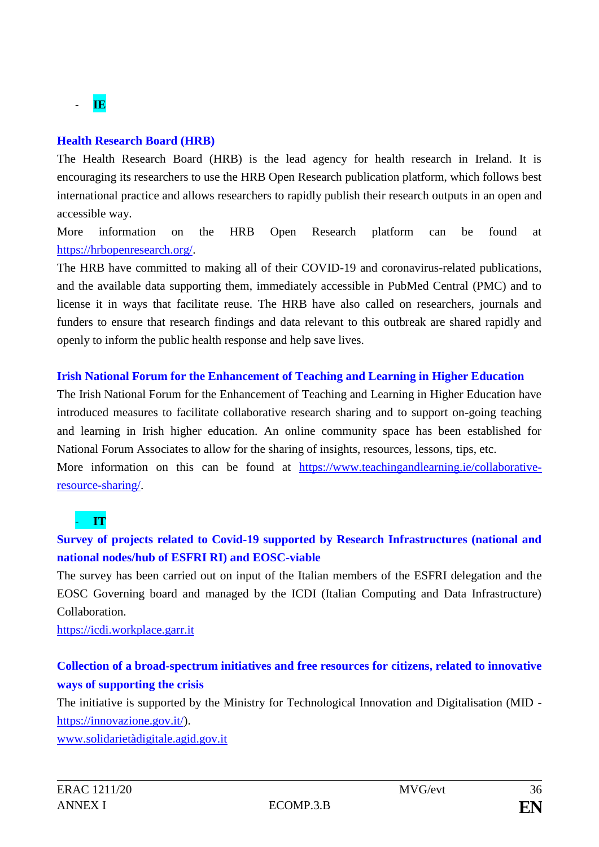# - **IE**

### **Health Research Board (HRB)**

The Health Research Board (HRB) is the lead agency for health research in Ireland. It is encouraging its researchers to use the HRB Open Research publication platform, which follows best international practice and allows researchers to rapidly publish their research outputs in an open and accessible way.

More information on the HRB Open Research platform can be found at [https://hrbopenresearch.org/.](https://hrbopenresearch.org/)

The HRB have committed to making all of their COVID-19 and coronavirus-related publications, and the available data supporting them, immediately accessible in PubMed Central (PMC) and to license it in ways that facilitate reuse. The HRB have also called on researchers, journals and funders to ensure that research findings and data relevant to this outbreak are shared rapidly and openly to inform the public health response and help save lives.

## **Irish National Forum for the Enhancement of Teaching and Learning in Higher Education**

The Irish National Forum for the Enhancement of Teaching and Learning in Higher Education have introduced measures to facilitate collaborative research sharing and to support on-going teaching and learning in Irish higher education. An online community space has been established for National Forum Associates to allow for the sharing of insights, resources, lessons, tips, etc.

More information on this can be found at [https://www.teachingandlearning.ie/collaborative](https://www.teachingandlearning.ie/collaborative-resource-sharing/)[resource-sharing/.](https://www.teachingandlearning.ie/collaborative-resource-sharing/)

# - **IT**

# **Survey of projects related to Covid-19 supported by Research Infrastructures (national and national nodes/hub of ESFRI RI) and EOSC-viable**

The survey has been carried out on input of the Italian members of the ESFRI delegation and the EOSC Governing board and managed by the ICDI (Italian Computing and Data Infrastructure) Collaboration.

[https://icdi.workplace.garr.it](https://icdi.workplace.garr.it/)

# **Collection of a broad-spectrum initiatives and free resources for citizens, related to innovative ways of supporting the crisis**

The initiative is supported by the Ministry for Technological Innovation and Digitalisation (MID [https://innovazione.gov.it/\)](https://innovazione.gov.it/).

[www.solidarietàdigitale.agid.gov.it](http://www.solidarietàdigitale.agid.gov.it/)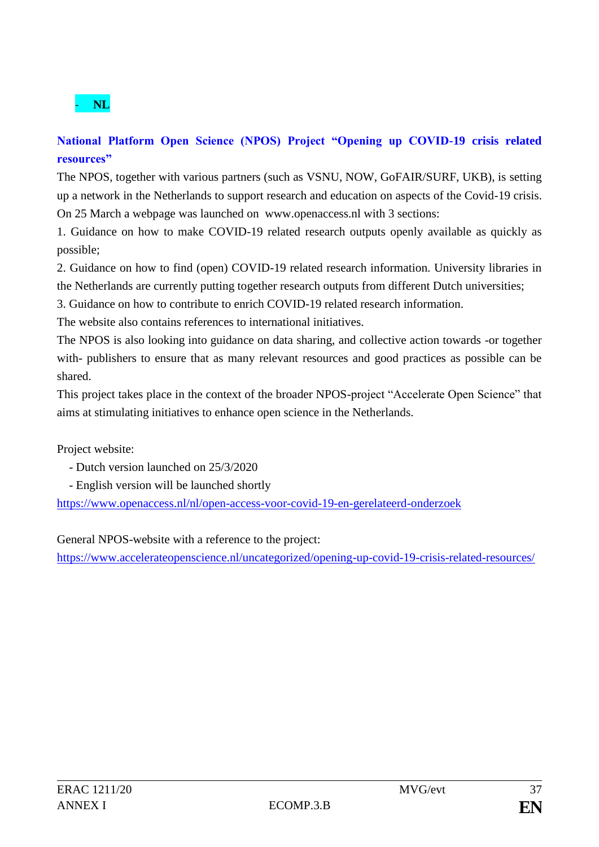

# **National Platform Open Science (NPOS) Project "Opening up COVID-19 crisis related resources"**

The NPOS, together with various partners (such as VSNU, NOW, GoFAIR/SURF, UKB), is setting up a network in the Netherlands to support research and education on aspects of the Covid-19 crisis. On 25 March a webpage was launched on www.openaccess.nl with 3 sections:

1. Guidance on how to make COVID-19 related research outputs openly available as quickly as possible;

2. Guidance on how to find (open) COVID-19 related research information. University libraries in the Netherlands are currently putting together research outputs from different Dutch universities;

3. Guidance on how to contribute to enrich COVID-19 related research information.

The website also contains references to international initiatives.

The NPOS is also looking into guidance on data sharing, and collective action towards -or together with- publishers to ensure that as many relevant resources and good practices as possible can be shared.

This project takes place in the context of the broader NPOS-project "Accelerate Open Science" that aims at stimulating initiatives to enhance open science in the Netherlands.

Project website:

- Dutch version launched on 25/3/2020
- English version will be launched shortly

https://www.openaccess.nl/nl/open-access-voor-covid-19-en-gerelateerd-onderzoek

General NPOS-website with a reference to the project:

<https://www.accelerateopenscience.nl/uncategorized/opening-up-covid-19-crisis-related-resources/>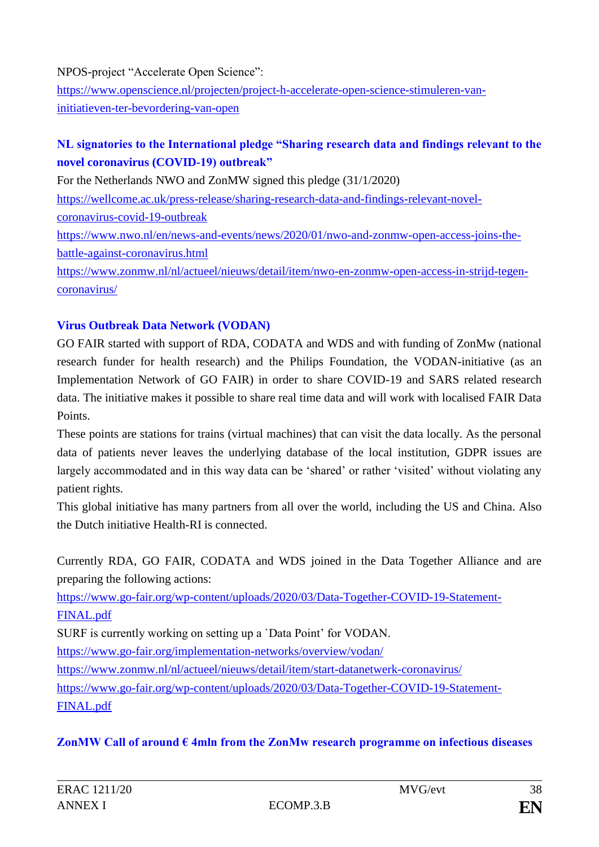NPOS-project "Accelerate Open Science": https://www.openscience.nl/projecten/project-h-accelerate-open-science-stimuleren-vaninitiatieven-ter-bevordering-van-open

# **NL signatories to the International pledge "Sharing research data and findings relevant to the novel coronavirus (COVID-19) outbreak"**

For the Netherlands NWO and ZonMW signed this pledge (31/1/2020) https://wellcome.ac.uk/press-release/sharing-research-data-and-findings-relevant-novelcoronavirus-covid-19-outbreak https://www.nwo.nl/en/news-and-events/news/2020/01/nwo-and-zonmw-open-access-joins-thebattle-against-coronavirus.html https://www.zonmw.nl/nl/actueel/nieuws/detail/item/nwo-en-zonmw-open-access-in-strijd-tegen-

coronavirus/

## **Virus Outbreak Data Network (VODAN)**

GO FAIR started with support of RDA, CODATA and WDS and with funding of ZonMw (national research funder for health research) and the Philips Foundation, the VODAN-initiative (as an Implementation Network of GO FAIR) in order to share COVID-19 and SARS related research data. The initiative makes it possible to share real time data and will work with localised FAIR Data Points.

These points are stations for trains (virtual machines) that can visit the data locally. As the personal data of patients never leaves the underlying database of the local institution, GDPR issues are largely accommodated and in this way data can be 'shared' or rather 'visited' without violating any patient rights.

This global initiative has many partners from all over the world, including the US and China. Also the Dutch initiative Health-RI is connected.

Currently RDA, GO FAIR, CODATA and WDS joined in the Data Together Alliance and are preparing the following actions:

https://www.go-fair.org/wp-content/uploads/2020/03/Data-Together-COVID-19-Statement-FINAL.pdf

SURF is currently working on setting up a `Data Point' for VODAN.

https://www.go-fair.org/implementation-networks/overview/vodan/

https://www.zonmw.nl/nl/actueel/nieuws/detail/item/start-datanetwerk-coronavirus/

https://www.go-fair.org/wp-content/uploads/2020/03/Data-Together-COVID-19-Statement-

FINAL.pdf

## **ZonMW Call of around € 4mln from the ZonMw research programme on infectious diseases**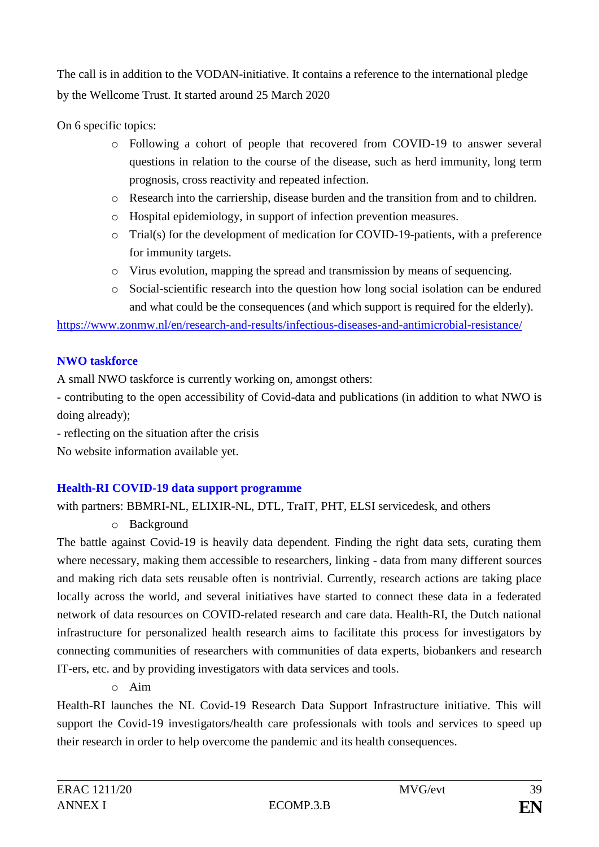The call is in addition to the VODAN-initiative. It contains a reference to the international pledge by the Wellcome Trust. It started around 25 March 2020

On 6 specific topics:

- o Following a cohort of people that recovered from COVID-19 to answer several questions in relation to the course of the disease, such as herd immunity, long term prognosis, cross reactivity and repeated infection.
- o Research into the carriership, disease burden and the transition from and to children.
- o Hospital epidemiology, in support of infection prevention measures.
- o Trial(s) for the development of medication for COVID-19-patients, with a preference for immunity targets.
- o Virus evolution, mapping the spread and transmission by means of sequencing.
- o Social-scientific research into the question how long social isolation can be endured and what could be the consequences (and which support is required for the elderly).

https://www.zonmw.nl/en/research-and-results/infectious-diseases-and-antimicrobial-resistance/

# **NWO taskforce**

A small NWO taskforce is currently working on, amongst others:

- contributing to the open accessibility of Covid-data and publications (in addition to what NWO is doing already);

- reflecting on the situation after the crisis

No website information available yet.

# **Health-RI COVID-19 data support programme**

with partners: BBMRI-NL, ELIXIR-NL, DTL, TraIT, PHT, ELSI servicedesk, and others

o Background

The battle against Covid-19 is heavily data dependent. Finding the right data sets, curating them where necessary, making them accessible to researchers, linking - data from many different sources and making rich data sets reusable often is nontrivial. Currently, research actions are taking place locally across the world, and several initiatives have started to connect these data in a federated network of data resources on COVID-related research and care data. Health-RI, the Dutch national infrastructure for personalized health research aims to facilitate this process for investigators by connecting communities of researchers with communities of data experts, biobankers and research IT-ers, etc. and by providing investigators with data services and tools.

o Aim

Health-RI launches the NL Covid-19 Research Data Support Infrastructure initiative. This will support the Covid-19 investigators/health care professionals with tools and services to speed up their research in order to help overcome the pandemic and its health consequences.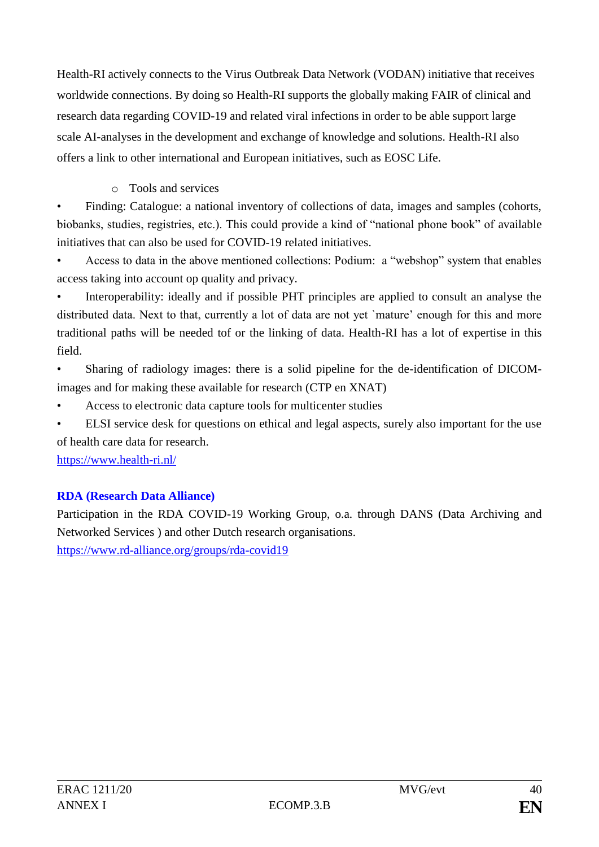Health-RI actively connects to the Virus Outbreak Data Network (VODAN) initiative that receives worldwide connections. By doing so Health-RI supports the globally making FAIR of clinical and research data regarding COVID-19 and related viral infections in order to be able support large scale AI-analyses in the development and exchange of knowledge and solutions. Health-RI also offers a link to other international and European initiatives, such as EOSC Life.

# o Tools and services

• Finding: Catalogue: a national inventory of collections of data, images and samples (cohorts, biobanks, studies, registries, etc.). This could provide a kind of "national phone book" of available initiatives that can also be used for COVID-19 related initiatives.

• Access to data in the above mentioned collections: Podium: a "webshop" system that enables access taking into account op quality and privacy.

• Interoperability: ideally and if possible PHT principles are applied to consult an analyse the distributed data. Next to that, currently a lot of data are not yet `mature' enough for this and more traditional paths will be needed tof or the linking of data. Health-RI has a lot of expertise in this field.

• Sharing of radiology images: there is a solid pipeline for the de-identification of DICOMimages and for making these available for research (CTP en XNAT)

• Access to electronic data capture tools for multicenter studies

ELSI service desk for questions on ethical and legal aspects, surely also important for the use of health care data for research.

https://www.health-ri.nl/

# **RDA (Research Data Alliance)**

Participation in the RDA COVID-19 Working Group, o.a. through DANS (Data Archiving and Networked Services ) and other Dutch research organisations.

https://www.rd-alliance.org/groups/rda-covid19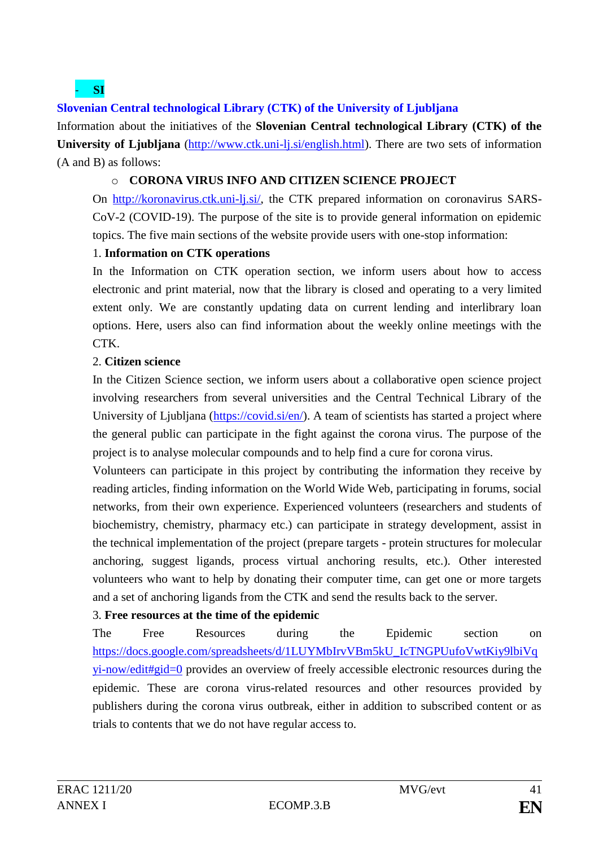# - **SI**

## **Slovenian Central technological Library (CTK) of the University of Ljubljana**

Information about the initiatives of the **Slovenian Central technological Library (CTK) of the University of Ljubljana** [\(http://www.ctk.uni-lj.si/english.html\)](http://www.ctk.uni-lj.si/english.html). There are two sets of information (A and B) as follows:

### o **CORONA VIRUS INFO AND CITIZEN SCIENCE PROJECT**

On [http://koronavirus.ctk.uni-lj.si/,](http://koronavirus.ctk.uni-lj.si/) the CTK prepared information on coronavirus SARS-CoV-2 (COVID-19). The purpose of the site is to provide general information on epidemic topics. The five main sections of the website provide users with one-stop information:

### 1. **Information on CTK operations**

In the Information on CTK operation section, we inform users about how to access electronic and print material, now that the library is closed and operating to a very limited extent only. We are constantly updating data on current lending and interlibrary loan options. Here, users also can find information about the weekly online meetings with the CTK.

### 2. **Citizen science**

In the Citizen Science section, we inform users about a collaborative open science project involving researchers from several universities and the Central Technical Library of the University of Ljubljana [\(https://covid.si/en/\)](https://covid.si/en/). A team of scientists has started a project where the general public can participate in the fight against the corona virus. The purpose of the project is to analyse molecular compounds and to help find a cure for corona virus.

Volunteers can participate in this project by contributing the information they receive by reading articles, finding information on the World Wide Web, participating in forums, social networks, from their own experience. Experienced volunteers (researchers and students of biochemistry, chemistry, pharmacy etc.) can participate in strategy development, assist in the technical implementation of the project (prepare targets - protein structures for molecular anchoring, suggest ligands, process virtual anchoring results, etc.). Other interested volunteers who want to help by donating their computer time, can get one or more targets and a set of anchoring ligands from the CTK and send the results back to the server.

## 3. **Free resources at the time of the epidemic**

The Free Resources during the Epidemic section on [https://docs.google.com/spreadsheets/d/1LUYMbIrvVBm5kU\\_IcTNGPUufoVwtKiy9lbiVq](https://docs.google.com/spreadsheets/d/1LUYMbIrvVBm5kU_IcTNGPUufoVwtKiy9lbiVqyi-now/edit#gid=0) [yi-now/edit#gid=0](https://docs.google.com/spreadsheets/d/1LUYMbIrvVBm5kU_IcTNGPUufoVwtKiy9lbiVqyi-now/edit#gid=0) provides an overview of freely accessible electronic resources during the epidemic. These are corona virus-related resources and other resources provided by publishers during the corona virus outbreak, either in addition to subscribed content or as trials to contents that we do not have regular access to.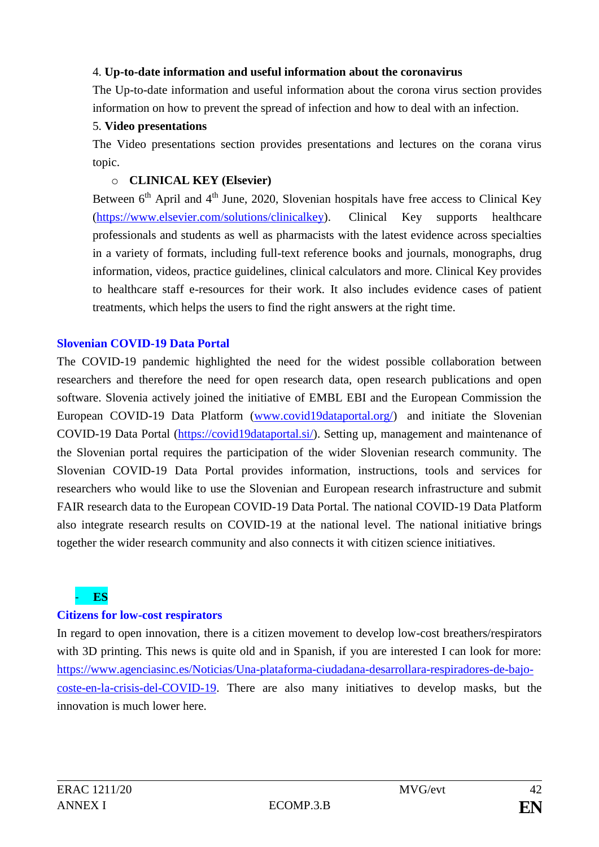### 4. **Up-to-date information and useful information about the coronavirus**

The Up-to-date information and useful information about the corona virus section provides information on how to prevent the spread of infection and how to deal with an infection.

### 5. **Video presentations**

The Video presentations section provides presentations and lectures on the corana virus topic.

## o **CLINICAL KEY (Elsevier)**

Between  $6<sup>th</sup>$  April and  $4<sup>th</sup>$  June, 2020, Slovenian hospitals have free access to Clinical Key [\(https://www.elsevier.com/solutions/clinicalkey\)](https://www.elsevier.com/solutions/clinicalkey). Clinical Key supports healthcare professionals and students as well as pharmacists with the latest evidence across specialties in a variety of formats, including full-text reference books and journals, monographs, drug information, videos, practice guidelines, clinical calculators and more. Clinical Key provides to healthcare staff e-resources for their work. It also includes evidence cases of patient treatments, which helps the users to find the right answers at the right time.

## **Slovenian COVID-19 Data Portal**

The COVID-19 pandemic highlighted the need for the widest possible collaboration between researchers and therefore the need for open research data, open research publications and open software. Slovenia actively joined the initiative of EMBL EBI and the European Commission the European COVID-19 Data Platform [\(www.covid19dataportal.org/\)](www.covid19dataportal.org/) and initiate the Slovenian COVID-19 Data Portal [\(https://covid19dataportal.si/\)](https://covid19dataportal.si/). Setting up, management and maintenance of the Slovenian portal requires the participation of the wider Slovenian research community. The Slovenian COVID-19 Data Portal provides information, instructions, tools and services for researchers who would like to use the Slovenian and European research infrastructure and submit FAIR research data to the European COVID-19 Data Portal. The national COVID-19 Data Platform also integrate research results on COVID-19 at the national level. The national initiative brings together the wider research community and also connects it with citizen science initiatives.

## - **ES**

## **Citizens for low-cost respirators**

In regard to open innovation, there is a citizen movement to develop low-cost breathers/respirators with 3D printing. This news is quite old and in Spanish, if you are interested I can look for more: [https://www.agenciasinc.es/Noticias/Una-plataforma-ciudadana-desarrollara-respiradores-de-bajo](https://www.agenciasinc.es/Noticias/Una-plataforma-ciudadana-desarrollara-respiradores-de-bajo-coste-en-la-crisis-del-COVID-19)[coste-en-la-crisis-del-COVID-19.](https://www.agenciasinc.es/Noticias/Una-plataforma-ciudadana-desarrollara-respiradores-de-bajo-coste-en-la-crisis-del-COVID-19) There are also many initiatives to develop masks, but the innovation is much lower here.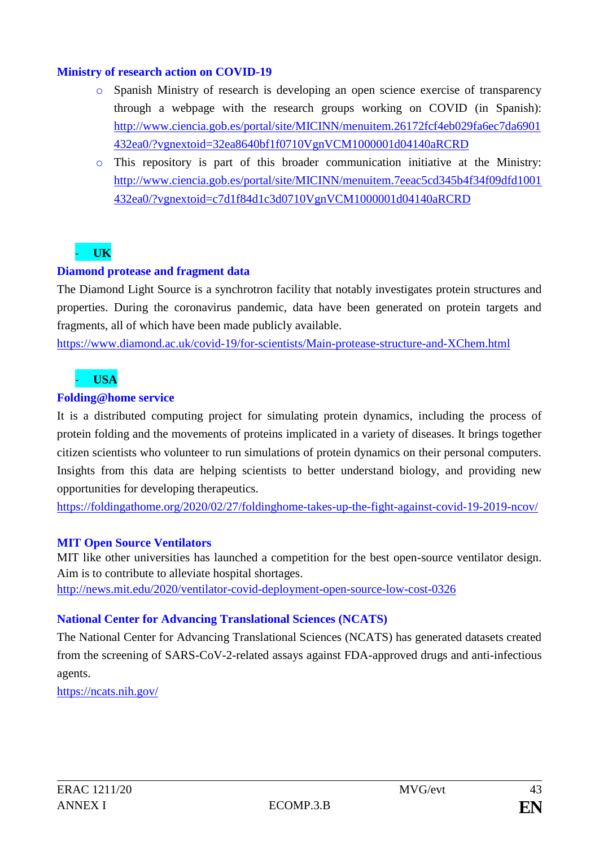### **Ministry of research action on COVID-19**

- o Spanish Ministry of research is developing an open science exercise of transparency through a webpage with the research groups working on COVID (in Spanish): [http://www.ciencia.gob.es/portal/site/MICINN/menuitem.26172fcf4eb029fa6ec7da6901](http://www.ciencia.gob.es/portal/site/MICINN/menuitem.26172fcf4eb029fa6ec7da6901432ea0/?vgnextoid=32ea8640bf1f0710VgnVCM1000001d04140aRCRD) [432ea0/?vgnextoid=32ea8640bf1f0710VgnVCM1000001d04140aRCRD](http://www.ciencia.gob.es/portal/site/MICINN/menuitem.26172fcf4eb029fa6ec7da6901432ea0/?vgnextoid=32ea8640bf1f0710VgnVCM1000001d04140aRCRD)
- o This repository is part of this broader communication initiative at the Ministry: [http://www.ciencia.gob.es/portal/site/MICINN/menuitem.7eeac5cd345b4f34f09dfd1001](http://www.ciencia.gob.es/portal/site/MICINN/menuitem.7eeac5cd345b4f34f09dfd1001432ea0/?vgnextoid=c7d1f84d1c3d0710VgnVCM1000001d04140aRCRD) [432ea0/?vgnextoid=c7d1f84d1c3d0710VgnVCM1000001d04140aRCRD](http://www.ciencia.gob.es/portal/site/MICINN/menuitem.7eeac5cd345b4f34f09dfd1001432ea0/?vgnextoid=c7d1f84d1c3d0710VgnVCM1000001d04140aRCRD)

## - **UK**

## **Diamond protease and fragment data**

The Diamond Light Source is a synchrotron facility that notably investigates protein structures and properties. During the coronavirus pandemic, data have been generated on protein targets and fragments, all of which have been made publicly available.

<https://www.diamond.ac.uk/covid-19/for-scientists/Main-protease-structure-and-XChem.html>

## - **USA**

### **Folding@home service**

It is a distributed computing project for simulating protein dynamics, including the process of protein folding and the movements of proteins implicated in a variety of diseases. It brings together citizen scientists who volunteer to run simulations of protein dynamics on their personal computers. Insights from this data are helping scientists to better understand biology, and providing new opportunities for developing therapeutics.

<https://foldingathome.org/2020/02/27/foldinghome-takes-up-the-fight-against-covid-19-2019-ncov/>

## **MIT Open Source Ventilators**

MIT like other universities has launched a competition for the best open-source ventilator design. Aim is to contribute to alleviate hospital shortages. <http://news.mit.edu/2020/ventilator-covid-deployment-open-source-low-cost-0326>

## **National Center for Advancing Translational Sciences (NCATS)**

The National Center for Advancing Translational Sciences (NCATS) has generated datasets created from the screening of SARS-CoV-2-related assays against FDA-approved drugs and anti-infectious agents.

<https://ncats.nih.gov/>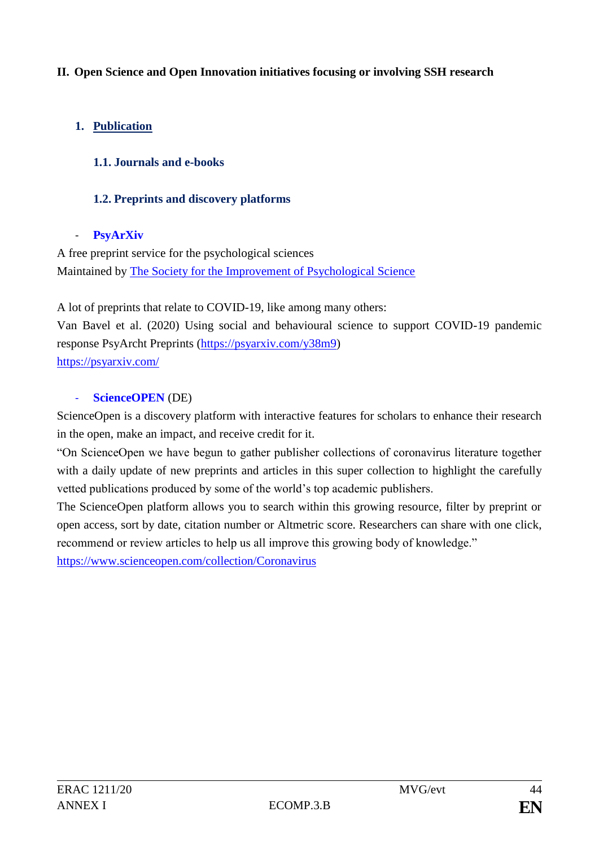## **II. Open Science and Open Innovation initiatives focusing or involving SSH research**

## **1. Publication**

## **1.1. Journals and e-books**

## **1.2. Preprints and discovery platforms**

### - **PsyArXiv**

A free preprint service for the psychological sciences Maintained by [The Society for the Improvement of Psychological Science](http://improvingpsych.org/)

A lot of preprints that relate to COVID-19, like among many others:

Van Bavel et al. (2020) Using social and behavioural science to support COVID-19 pandemic response PsyArcht Preprints [\(https://psyarxiv.com/y38m9\)](https://psyarxiv.com/y38m9)

<https://psyarxiv.com/>

### - **ScienceOPEN** (DE)

ScienceOpen is a discovery platform with interactive features for scholars to enhance their research in the open, make an impact, and receive credit for it.

"On ScienceOpen we have begun to gather publisher collections of coronavirus literature together with a daily update of new preprints and articles in this super collection to highlight the carefully vetted publications produced by some of the world's top academic publishers.

The ScienceOpen platform allows you to search within this growing resource, filter by preprint or open access, sort by date, citation number or Altmetric score. Researchers can share with one click, recommend or review articles to help us all improve this growing body of knowledge."

<https://www.scienceopen.com/collection/Coronavirus>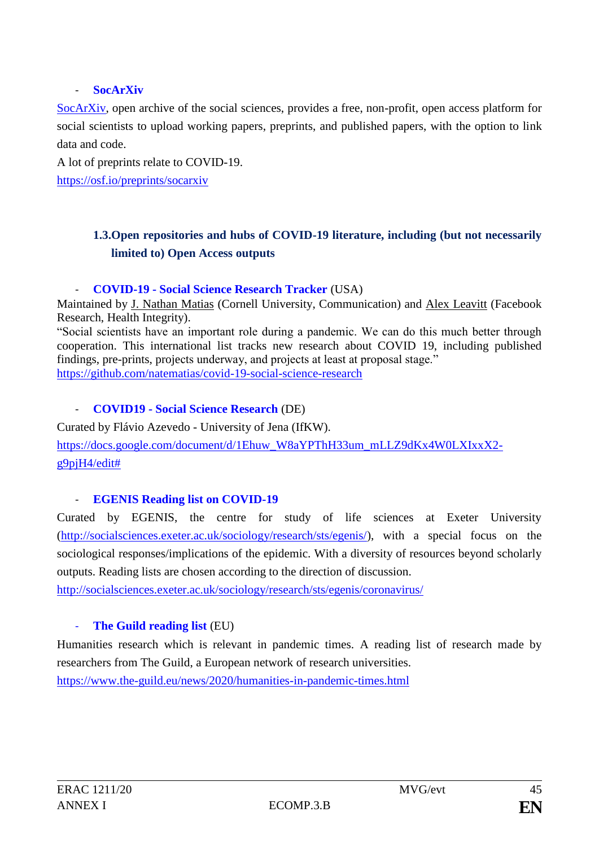## - **SocArXiv**

[SocArXiv,](http://socarxiv.org/) open archive of the social sciences, provides a free, non-profit, open access platform for social scientists to upload working papers, preprints, and published papers, with the option to link data and code.

A lot of preprints relate to COVID-19.

<https://osf.io/preprints/socarxiv>

# **1.3.Open repositories and hubs of COVID-19 literature, including (but not necessarily limited to) Open Access outputs**

### - **COVID-19 - Social Science Research Tracker** (USA)

Maintained by [J. Nathan Matias](https://twitter.com/natematias) (Cornell University, Communication) and [Alex Leavitt](https://twitter.com/alexleavitt) (Facebook Research, Health Integrity).

"Social scientists have an important role during a pandemic. We can do this much better through cooperation. This international list tracks new research about COVID 19, including published findings, pre-prints, projects underway, and projects at least at proposal stage." <https://github.com/natematias/covid-19-social-science-research>

## - **COVID19 - Social Science Research** (DE)

Curated by Flávio Azevedo - University of Jena (IfKW).

[https://docs.google.com/document/d/1Ehuw\\_W8aYPThH33um\\_mLLZ9dKx4W0LXIxxX2](https://docs.google.com/document/d/1Ehuw_W8aYPThH33um_mLLZ9dKx4W0LXIxxX2-g9pjH4/edit) [g9pjH4/edit#](https://docs.google.com/document/d/1Ehuw_W8aYPThH33um_mLLZ9dKx4W0LXIxxX2-g9pjH4/edit)

## - **EGENIS Reading list on COVID-19**

Curated by EGENIS, the centre for study of life sciences at Exeter University [\(http://socialsciences.exeter.ac.uk/sociology/research/sts/egenis/\)](http://socialsciences.exeter.ac.uk/sociology/research/sts/egenis/), with a special focus on the sociological responses/implications of the epidemic. With a diversity of resources beyond scholarly outputs. Reading lists are chosen according to the direction of discussion.

<http://socialsciences.exeter.ac.uk/sociology/research/sts/egenis/coronavirus/>

## - **The Guild reading list** (EU)

Humanities research which is relevant in pandemic times. A reading list of research made by researchers from The Guild, a European network of research universities. <https://www.the-guild.eu/news/2020/humanities-in-pandemic-times.html>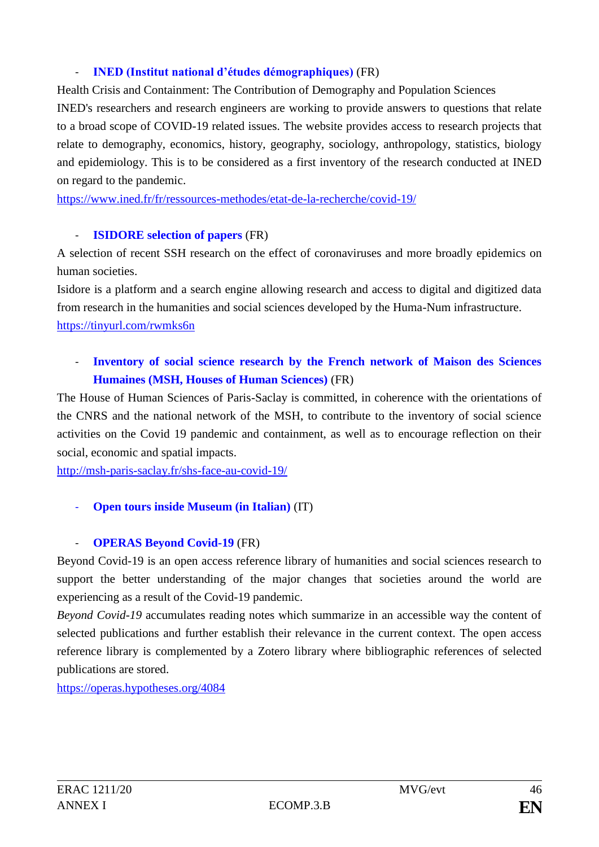## - **INED (Institut national d'études démographiques)** (FR)

Health Crisis and Containment: The Contribution of Demography and Population Sciences

INED's researchers and research engineers are working to provide answers to questions that relate to a broad scope of COVID-19 related issues. The website provides access to research projects that relate to demography, economics, history, geography, sociology, anthropology, statistics, biology and epidemiology. This is to be considered as a first inventory of the research conducted at INED on regard to the pandemic.

https://www.ined.fr/fr/ressources-methodes/etat-de-la-recherche/covid-19/

## - **ISIDORE selection of papers** (FR)

A selection of recent SSH research on the effect of coronaviruses and more broadly epidemics on human societies.

Isidore is a platform and a search engine allowing research and access to digital and digitized data from research in the humanities and social sciences developed by the Huma-Num infrastructure. [https://tinyurl.com/rwmks6n](https://t.co/QCweb5aIq1?amp=1)

# - **Inventory of social science research by the French network of Maison des Sciences Humaines (MSH, Houses of Human Sciences)** (FR)

The House of Human Sciences of Paris-Saclay is committed, in coherence with the orientations of the CNRS and the national network of the MSH, to contribute to the inventory of social science activities on the Covid 19 pandemic and containment, as well as to encourage reflection on their social, economic and spatial impacts.

<http://msh-paris-saclay.fr/shs-face-au-covid-19/>

## - **Open tours inside Museum (in Italian)** (IT)

## - **OPERAS Beyond Covid-19** (FR)

[Beyond Covid-19](https://beyondcovid19.hypotheses.org/about) is an open access reference library of humanities and social sciences research to support the better understanding of the major changes that societies around the world are experiencing as a result of the Covid-19 pandemic.

*Beyond Covid-19* accumulates reading notes which summarize in an accessible way the content of selected publications and further establish their relevance in the current context. The open access reference library is complemented by a [Zotero library](https://www.zotero.org/groups/2473609/beyond_covid-19) where bibliographic references of selected publications are stored.

<https://operas.hypotheses.org/4084>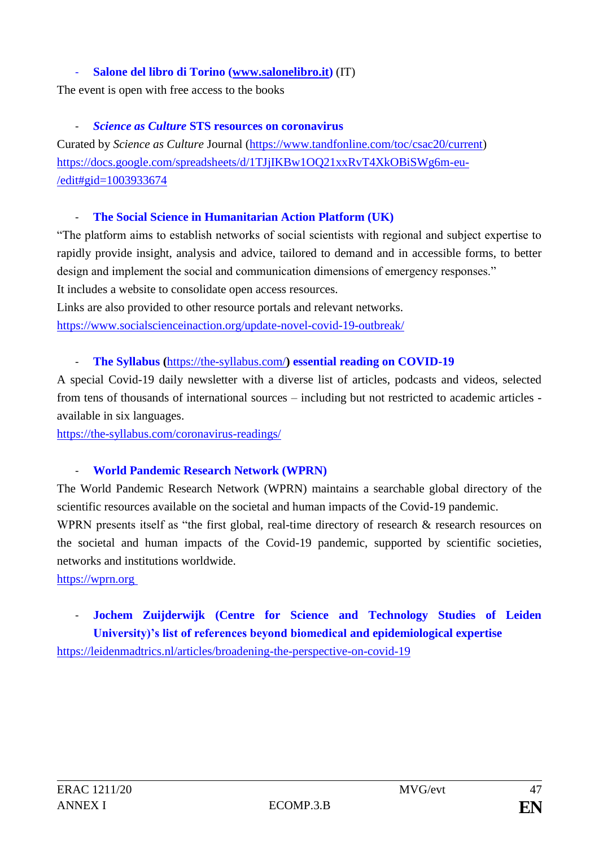## - **Salone del libro di Torino [\(www.salonelibro.it\)](http://www.salonelibro.it/)** (IT)

The event is open with free access to the books

## - *Science as Culture* **STS resources on coronavirus**

Curated by *Science as Culture* Journal [\(https://www.tandfonline.com/toc/csac20/current\)](https://www.tandfonline.com/toc/csac20/current) [https://docs.google.com/spreadsheets/d/1TJjIKBw1OQ21xxRvT4XkOBiSWg6m-eu-](https://docs.google.com/spreadsheets/d/1TJjIKBw1OQ21xxRvT4XkOBiSWg6m-eu-/edit#gid=1003933674) [/edit#gid=1003933674](https://docs.google.com/spreadsheets/d/1TJjIKBw1OQ21xxRvT4XkOBiSWg6m-eu-/edit#gid=1003933674)

### - **The Social Science in Humanitarian Action Platform (UK)**

"The platform aims to establish networks of social scientists with regional and subject expertise to rapidly provide insight, analysis and advice, tailored to demand and in accessible forms, to better design and implement the social and communication dimensions of emergency responses." It includes a website to consolidate open access resources.

Links are also provided to other resource portals and relevant networks. <https://www.socialscienceinaction.org/update-novel-covid-19-outbreak/>

## - **The Syllabus (**<https://the-syllabus.com/>**) essential reading on COVID-19**

A special Covid-19 daily newsletter with a diverse list of articles, podcasts and videos, selected from tens of thousands of international sources – including but not restricted to academic articles available in six languages.

<https://the-syllabus.com/coronavirus-readings/>

## - **World Pandemic Research Network (WPRN)**

The World Pandemic Research Network (WPRN) maintains a searchable global directory of the scientific resources available on the societal and human impacts of the Covid-19 pandemic.

WPRN presents itself as "the first global, real-time directory of research & research resources on the societal and human impacts of the Covid-19 pandemic, supported by scientific societies, networks and institutions worldwide.

[https://wprn.org](https://wprn.org/)

# - **Jochem Zuijderwijk (Centre for Science and Technology Studies of Leiden University)'s list of references beyond biomedical and epidemiological expertise**

<https://leidenmadtrics.nl/articles/broadening-the-perspective-on-covid-19>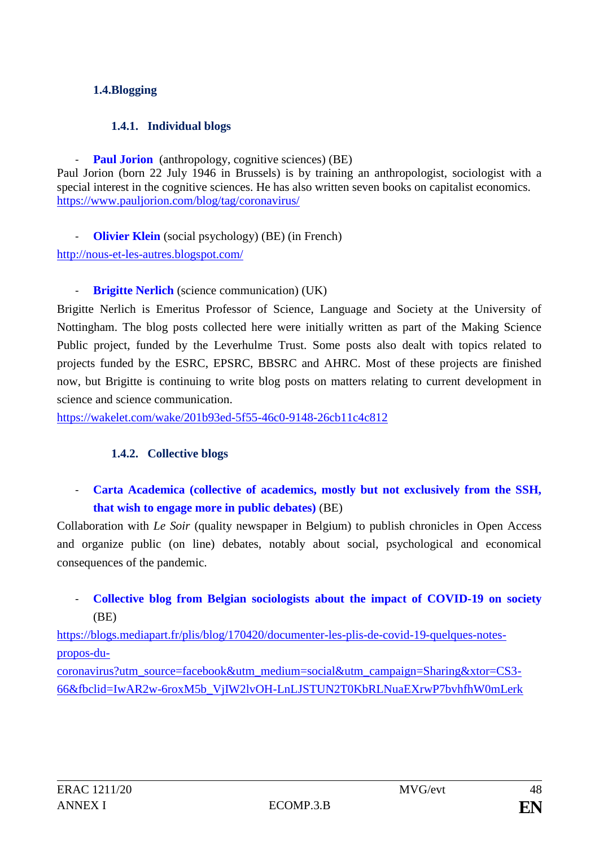## **1.4.Blogging**

## **1.4.1. Individual blogs**

**Paul Jorion** (anthropology, cognitive sciences) (BE)

Paul Jorion (born 22 July 1946 in Brussels) is by training an anthropologist, sociologist with a special interest in the cognitive sciences. He has also written seven books on capitalist economics. <https://www.pauljorion.com/blog/tag/coronavirus/>

**Olivier Klein** (social psychology) (BE) (in French)

<http://nous-et-les-autres.blogspot.com/>

## **Brigitte Nerlich** (science communication) (UK)

Brigitte Nerlich is Emeritus Professor of Science, Language and Society at the University of Nottingham. The blog posts collected here were initially written as part of the Making Science Public project, funded by the Leverhulme Trust. Some posts also dealt with topics related to projects funded by the ESRC, EPSRC, BBSRC and AHRC. Most of these projects are finished now, but Brigitte is continuing to write blog posts on matters relating to current development in science and science communication.

<https://wakelet.com/wake/201b93ed-5f55-46c0-9148-26cb11c4c812>

## **1.4.2. Collective blogs**

Carta Academica (collective of academics, mostly but not exclusively from the SSH, **that wish to engage more in public debates)** (BE)

Collaboration with *Le Soir* (quality newspaper in Belgium) to publish chronicles in Open Access and organize public (on line) debates, notably about social, psychological and economical consequences of the pandemic.

# - **Collective blog from Belgian sociologists about the impact of COVID-19 on society** (BE)

[https://blogs.mediapart.fr/plis/blog/170420/documenter-les-plis-de-covid-19-quelques-notes](https://blogs.mediapart.fr/plis/blog/170420/documenter-les-plis-de-covid-19-quelques-notes-propos-du-coronavirus?utm_source=facebook&utm_medium=social&utm_campaign=Sharing&xtor=CS3-66&fbclid=IwAR2w-6roxM5b_VjIW2lvOH-LnLJSTUN2T0KbRLNuaEXrwP7bvhfhW0mLerk)[propos-du-](https://blogs.mediapart.fr/plis/blog/170420/documenter-les-plis-de-covid-19-quelques-notes-propos-du-coronavirus?utm_source=facebook&utm_medium=social&utm_campaign=Sharing&xtor=CS3-66&fbclid=IwAR2w-6roxM5b_VjIW2lvOH-LnLJSTUN2T0KbRLNuaEXrwP7bvhfhW0mLerk)

[coronavirus?utm\\_source=facebook&utm\\_medium=social&utm\\_campaign=Sharing&xtor=CS3-](https://blogs.mediapart.fr/plis/blog/170420/documenter-les-plis-de-covid-19-quelques-notes-propos-du-coronavirus?utm_source=facebook&utm_medium=social&utm_campaign=Sharing&xtor=CS3-66&fbclid=IwAR2w-6roxM5b_VjIW2lvOH-LnLJSTUN2T0KbRLNuaEXrwP7bvhfhW0mLerk) [66&fbclid=IwAR2w-6roxM5b\\_VjIW2lvOH-LnLJSTUN2T0KbRLNuaEXrwP7bvhfhW0mLerk](https://blogs.mediapart.fr/plis/blog/170420/documenter-les-plis-de-covid-19-quelques-notes-propos-du-coronavirus?utm_source=facebook&utm_medium=social&utm_campaign=Sharing&xtor=CS3-66&fbclid=IwAR2w-6roxM5b_VjIW2lvOH-LnLJSTUN2T0KbRLNuaEXrwP7bvhfhW0mLerk)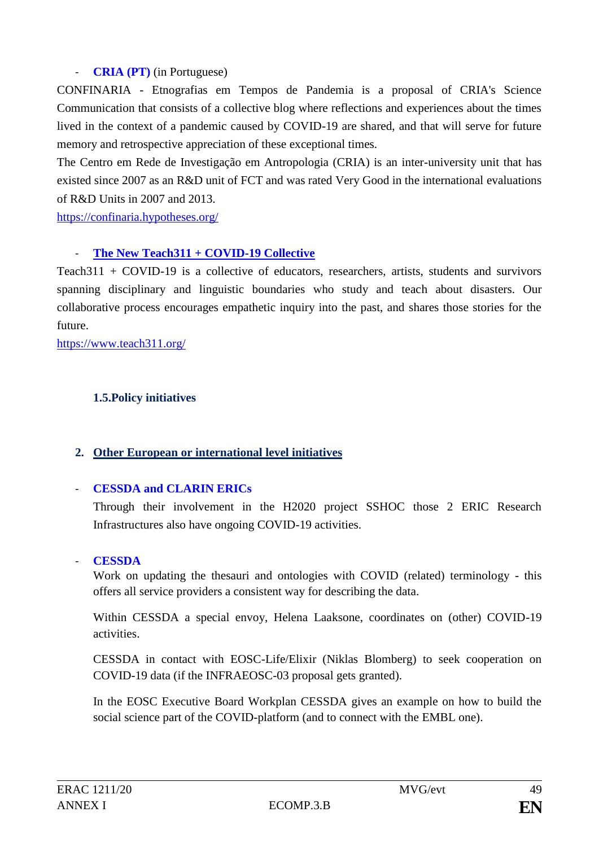## - **CRIA (PT)** (in Portuguese)

CONFINARIA - Etnografias em Tempos de Pandemia is a proposal of CRIA's Science Communication that consists of a collective blog where reflections and experiences about the times lived in the context of a pandemic caused by COVID-19 are shared, and that will serve for future memory and retrospective appreciation of these exceptional times.

The Centro em Rede de Investigação em Antropologia (CRIA) is an inter-university unit that has existed since 2007 as an R&D unit of FCT and was rated Very Good in the international evaluations of R&D Units in 2007 and 2013.

<https://confinaria.hypotheses.org/>

## [The New Teach311 + COVID-19 Collective](https://www.teach311.org/2020/03/31/statement/)

Teach311 + COVID-19 is a collective of educators, researchers, artists, students and survivors spanning disciplinary and linguistic boundaries who study and teach about disasters. Our collaborative process encourages empathetic inquiry into the past, and shares those stories for the future.

<https://www.teach311.org/>

## **1.5.Policy initiatives**

## **2. Other European or international level initiatives**

## - **CESSDA and CLARIN ERICs**

Through their involvement in the H2020 project SSHOC those 2 ERIC Research Infrastructures also have ongoing COVID-19 activities.

## - **CESSDA**

Work on updating the thesauri and ontologies with COVID (related) terminology - this offers all service providers a consistent way for describing the data.

Within CESSDA a special envoy, Helena Laaksone, coordinates on (other) COVID-19 activities.

CESSDA in contact with EOSC-Life/Elixir (Niklas Blomberg) to seek cooperation on COVID-19 data (if the INFRAEOSC-03 proposal gets granted).

In the EOSC Executive Board Workplan CESSDA gives an example on how to build the social science part of the COVID-platform (and to connect with the EMBL one).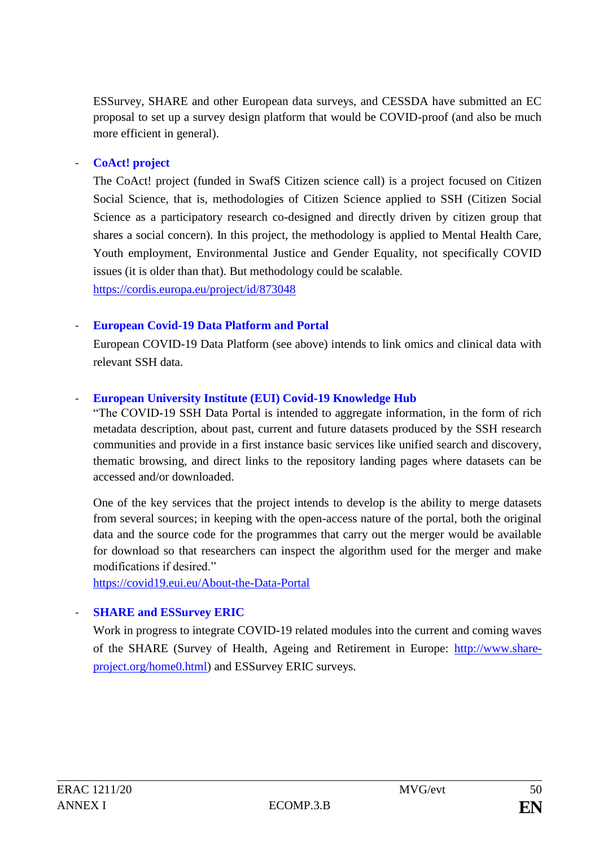ESSurvey, SHARE and other European data surveys, and CESSDA have submitted an EC proposal to set up a survey design platform that would be COVID-proof (and also be much more efficient in general).

### - **CoAct! project**

The CoAct! project (funded in SwafS Citizen science call) is a project focused on Citizen Social Science, that is, methodologies of Citizen Science applied to SSH (Citizen Social Science as a participatory research co-designed and directly driven by citizen group that shares a social concern). In this project, the methodology is applied to Mental Health Care, Youth employment, Environmental Justice and Gender Equality, not specifically COVID issues (it is older than that). But methodology could be scalable.

<https://cordis.europa.eu/project/id/873048>

### - **European Covid-19 Data Platform and Portal**

European COVID-19 Data Platform (see above) intends to link omics and clinical data with relevant SSH data.

### - **European University Institute (EUI) Covid-19 Knowledge Hub**

"The COVID-19 SSH Data Portal is intended to aggregate information, in the form of rich metadata description, about past, current and future datasets produced by the SSH research communities and provide in a first instance basic services like unified search and discovery, thematic browsing, and direct links to the repository landing pages where datasets can be accessed and/or downloaded.

One of the key services that the project intends to develop is the ability to merge datasets from several sources; in keeping with the open-access nature of the portal, both the original data and the source code for the programmes that carry out the merger would be available for download so that researchers can inspect the algorithm used for the merger and make modifications if desired."

<https://covid19.eui.eu/About-the-Data-Portal>

## **SHARE and ESSurvey ERIC**

Work in progress to integrate COVID-19 related modules into the current and coming waves of the SHARE (Survey of Health, Ageing and Retirement in Europe: [http://www.share](http://www.share-project.org/home0.html)[project.org/home0.html\)](http://www.share-project.org/home0.html) and ESSurvey ERIC surveys.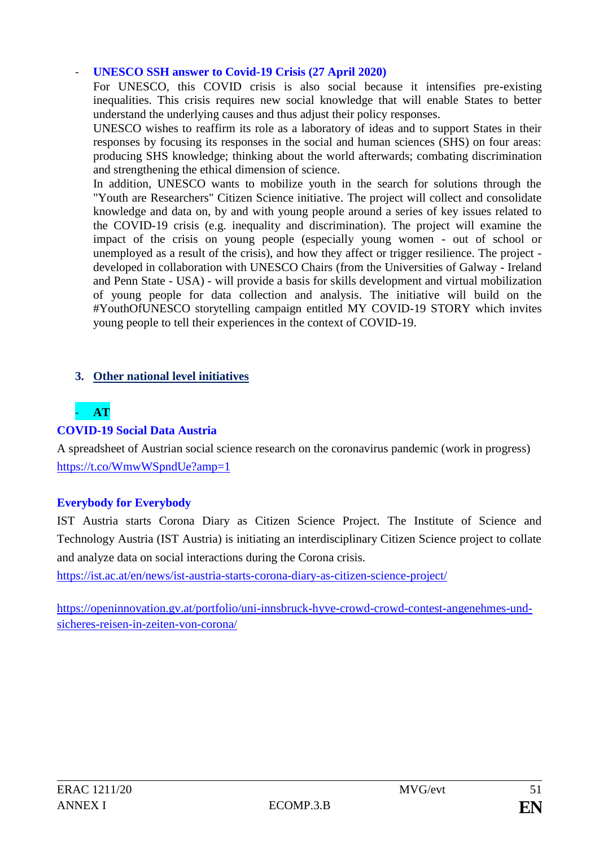### - **UNESCO SSH answer to Covid-19 Crisis (27 April 2020)**

For UNESCO, this COVID crisis is also social because it intensifies pre-existing inequalities. This crisis requires new social knowledge that will enable States to better understand the underlying causes and thus adjust their policy responses.

UNESCO wishes to reaffirm its role as a laboratory of ideas and to support States in their responses by focusing its responses in the social and human sciences (SHS) on four areas: producing SHS knowledge; thinking about the world afterwards; combating discrimination and strengthening the ethical dimension of science.

In addition, UNESCO wants to mobilize youth in the search for solutions through the "Youth are Researchers" Citizen Science initiative. The project will collect and consolidate knowledge and data on, by and with young people around a series of key issues related to the COVID-19 crisis (e.g. inequality and discrimination). The project will examine the impact of the crisis on young people (especially young women - out of school or unemployed as a result of the crisis), and how they affect or trigger resilience. The project developed in collaboration with UNESCO Chairs (from the Universities of Galway - Ireland and Penn State - USA) - will provide a basis for skills development and virtual mobilization of young people for data collection and analysis. The initiative will build on the #YouthOfUNESCO storytelling campaign entitled MY COVID-19 STORY which invites young people to tell their experiences in the context of COVID-19.

## **3. Other national level initiatives**

# - **AT**

## **COVID-19 Social Data Austria**

A spreadsheet of Austrian social science research on the coronavirus pandemic (work in progress) <https://t.co/WmwWSpndUe?amp=1>

## **Everybody for Everybody**

IST Austria starts Corona Diary as Citizen Science Project. The Institute of Science and Technology Austria (IST Austria) is initiating an interdisciplinary Citizen Science project to collate and analyze data on social interactions during the Corona crisis.

<https://ist.ac.at/en/news/ist-austria-starts-corona-diary-as-citizen-science-project/>

[https://openinnovation.gv.at/portfolio/uni-innsbruck-hyve-crowd-crowd-contest-angenehmes-und](https://openinnovation.gv.at/portfolio/uni-innsbruck-hyve-crowd-crowd-contest-angenehmes-und-sicheres-reisen-in-zeiten-von-corona/)[sicheres-reisen-in-zeiten-von-corona/](https://openinnovation.gv.at/portfolio/uni-innsbruck-hyve-crowd-crowd-contest-angenehmes-und-sicheres-reisen-in-zeiten-von-corona/)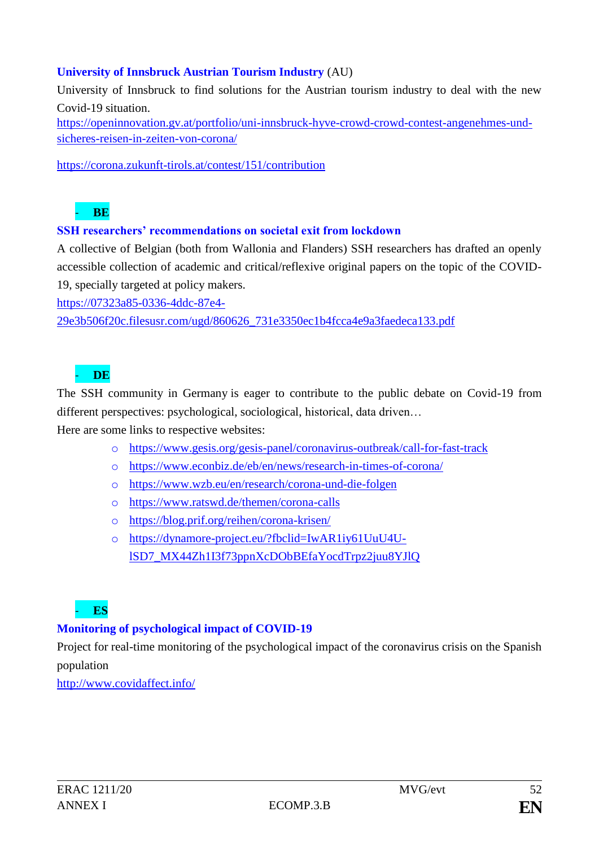## **University of Innsbruck Austrian Tourism Industry** (AU)

University of Innsbruck to find solutions for the Austrian tourism industry to deal with the new Covid-19 situation.

[https://openinnovation.gv.at/portfolio/uni-innsbruck-hyve-crowd-crowd-contest-angenehmes-und](https://openinnovation.gv.at/portfolio/uni-innsbruck-hyve-crowd-crowd-contest-angenehmes-und-sicheres-reisen-in-zeiten-von-corona/)[sicheres-reisen-in-zeiten-von-corona/](https://openinnovation.gv.at/portfolio/uni-innsbruck-hyve-crowd-crowd-contest-angenehmes-und-sicheres-reisen-in-zeiten-von-corona/)

<https://corona.zukunft-tirols.at/contest/151/contribution>

## - **BE**

### **SSH researchers' recommendations on societal exit from lockdown**

A collective of Belgian (both from Wallonia and Flanders) SSH researchers has drafted an openly accessible collection of academic and critical/reflexive original papers on the topic of the COVID-19, specially targeted at policy makers.

[https://07323a85-0336-4ddc-87e4-](https://07323a85-0336-4ddc-87e4-29e3b506f20c.filesusr.com/ugd/860626_731e3350ec1b4fcca4e9a3faedeca133.pdf)

[29e3b506f20c.filesusr.com/ugd/860626\\_731e3350ec1b4fcca4e9a3faedeca133.pdf](https://07323a85-0336-4ddc-87e4-29e3b506f20c.filesusr.com/ugd/860626_731e3350ec1b4fcca4e9a3faedeca133.pdf)

# - **DE**

The SSH community in Germany is eager to contribute to the public debate on Covid-19 from different perspectives: psychological, sociological, historical, data driven…

Here are some links to respective websites:

- o <https://www.gesis.org/gesis-panel/coronavirus-outbreak/call-for-fast-track>
- o <https://www.econbiz.de/eb/en/news/research-in-times-of-corona/>
- o <https://www.wzb.eu/en/research/corona-und-die-folgen>
- o <https://www.ratswd.de/themen/corona-calls>
- o <https://blog.prif.org/reihen/corona-krisen/>
- o [https://dynamore-project.eu/?fbclid=IwAR1iy61UuU4U](https://dynamore-project.eu/?fbclid=IwAR1iy61UuU4U-lSD7_MX44Zh1I3f73ppnXcDObBEfaYocdTrpz2juu8YJlQ)[lSD7\\_MX44Zh1I3f73ppnXcDObBEfaYocdTrpz2juu8YJlQ](https://dynamore-project.eu/?fbclid=IwAR1iy61UuU4U-lSD7_MX44Zh1I3f73ppnXcDObBEfaYocdTrpz2juu8YJlQ)

# - **ES**

## **Monitoring of psychological impact of COVID-19**

Project for real-time monitoring of the psychological impact of the coronavirus crisis on the Spanish population

<http://www.covidaffect.info/>